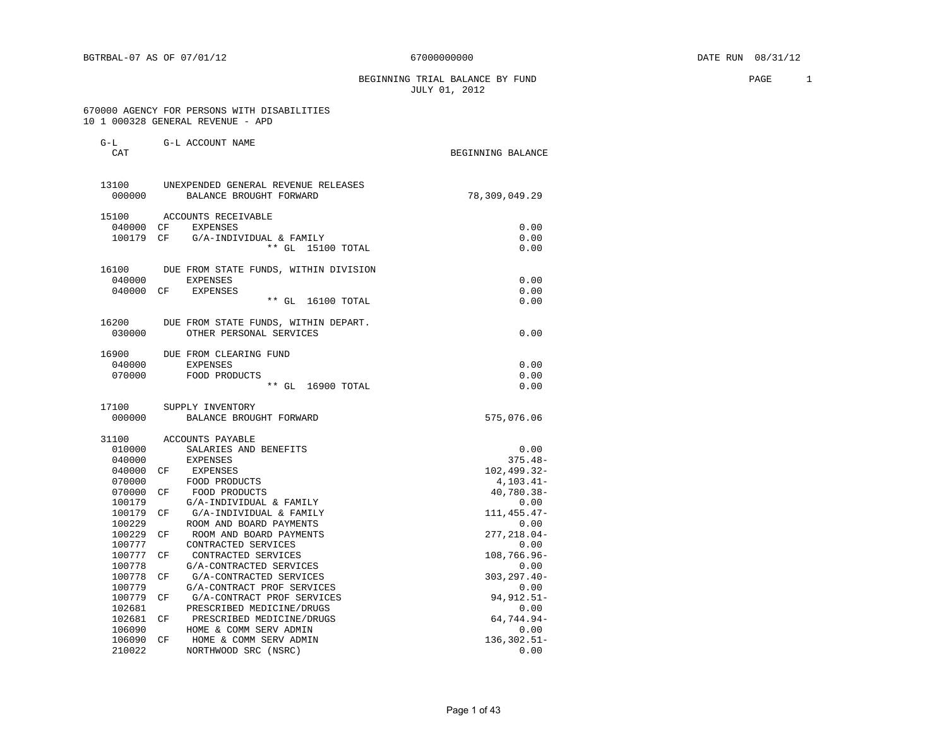BEGINNING TRIAL BALANCE BY FUND **PAGE** 2 JULY 01, 2012

#### 670000 AGENCY FOR PERSONS WITH DISABILITIES 10 1 000328 GENERAL REVENUE - APD

G-L G-L ACCOUNT NAME

| CAT              |                                                                | BEGINNING BALANCE    |
|------------------|----------------------------------------------------------------|----------------------|
| 13100<br>000000  | UNEXPENDED GENERAL REVENUE RELEASES<br>BALANCE BROUGHT FORWARD | 78,309,049.29        |
|                  |                                                                |                      |
| 15100            | ACCOUNTS RECEIVABLE                                            |                      |
| 040000 CF        | <b>EXPENSES</b>                                                | 0.00                 |
| 100179 CF        | G/A-INDIVIDUAL & FAMILY                                        | 0.00                 |
|                  | ** GL 15100 TOTAL                                              | 0.00                 |
| 16100            | DUE FROM STATE FUNDS, WITHIN DIVISION                          |                      |
| 040000           | EXPENSES                                                       | 0.00                 |
| 040000 CF        | EXPENSES                                                       | 0.00                 |
|                  | ** GL 16100 TOTAL                                              | 0.00                 |
| 16200            | DUE FROM STATE FUNDS, WITHIN DEPART.                           |                      |
| 030000           | OTHER PERSONAL SERVICES                                        | 0.00                 |
| 16900            | DUE FROM CLEARING FUND                                         |                      |
| 040000           | <b>EXPENSES</b>                                                | 0.00                 |
| 070000           | FOOD PRODUCTS                                                  | 0.00                 |
|                  | ** GL 16900 TOTAL                                              | 0.00                 |
| 17100            | SUPPLY INVENTORY                                               |                      |
| 000000           | BALANCE BROUGHT FORWARD                                        | 575,076.06           |
| 31100            | ACCOUNTS PAYABLE                                               |                      |
| 010000           | SALARIES AND BENEFITS                                          | 0.00                 |
| 040000           | <b>EXPENSES</b>                                                | $375.48-$            |
| 040000           | EXPENSES<br>CF.                                                | 102,499.32-          |
| 070000           | FOOD PRODUCTS                                                  | $4, 103.41 -$        |
| 070000           | FOOD PRODUCTS<br>CF                                            | 40,780.38-           |
| 100179           | G/A-INDIVIDUAL & FAMILY                                        | 0.00                 |
| 100179           | G/A-INDIVIDUAL & FAMILY<br>СF                                  | 111, 455. 47-        |
| 100229           | ROOM AND BOARD PAYMENTS                                        | 0.00                 |
| 100229           | ROOM AND BOARD PAYMENTS<br>СF                                  | 277,218.04-          |
| 100777           | CONTRACTED SERVICES                                            | 0.00                 |
| 100777           | CONTRACTED SERVICES<br>CF                                      | 108,766.96-          |
| 100778           | G/A-CONTRACTED SERVICES                                        | 0.00                 |
| 100778<br>100779 | G/A-CONTRACTED SERVICES<br>СF                                  | $303, 297.40 -$      |
| 100779           | G/A-CONTRACT PROF SERVICES<br>G/A-CONTRACT PROF SERVICES<br>СF | 0.00<br>94, 912. 51- |
| 102681           | PRESCRIBED MEDICINE/DRUGS                                      | 0.00                 |
| 102681           | PRESCRIBED MEDICINE/DRUGS<br>CF                                | 64,744.94-           |
| 106090           | HOME & COMM SERV ADMIN                                         | 0.00                 |
| 106090           | CF<br>HOME & COMM SERV ADMIN                                   | 136,302.51-          |
| 210022           | NORTHWOOD SRC (NSRC)                                           | 0.00                 |
|                  |                                                                |                      |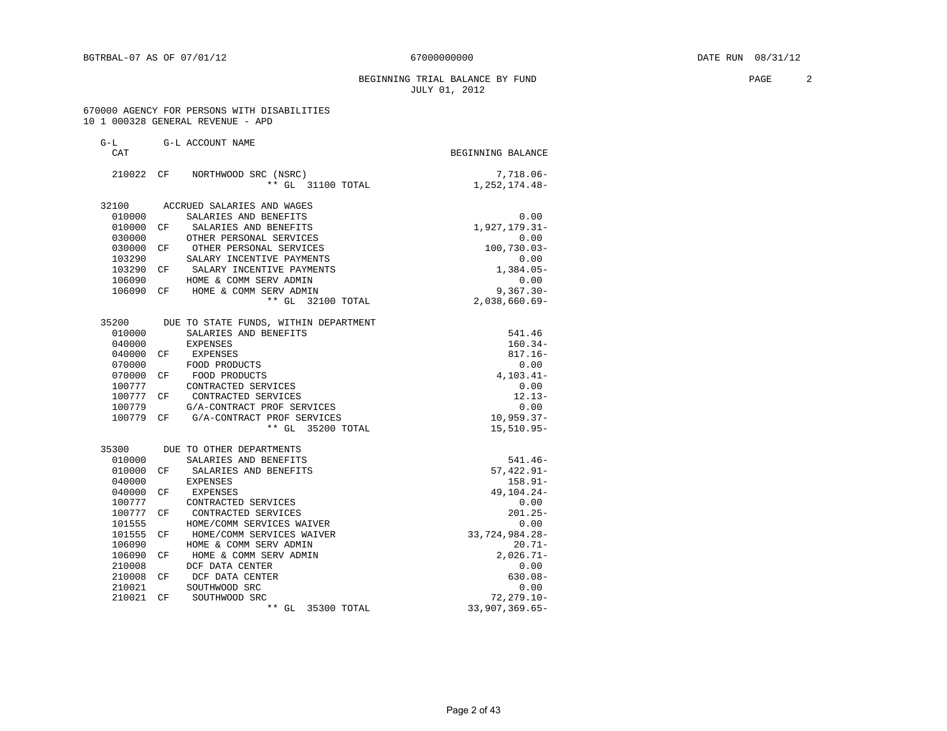#### BEGINNING TRIAL BALANCE BY FUND **PAGE** 2 JULY 01, 2012

#### 670000 AGENCY FOR PERSONS WITH DISABILITIES 10 1 000328 GENERAL REVENUE - APD

| $G-L$      |     | G-L ACCOUNT NAME                      |                   |
|------------|-----|---------------------------------------|-------------------|
| <b>CAT</b> |     |                                       | BEGINNING BALANCE |
| 210022 CF  |     | NORTHWOOD SRC (NSRC)                  | 7,718.06-         |
|            |     | ** GL 31100 TOTAL                     | 1, 252, 174. 48-  |
| 32100      |     | ACCRUED SALARIES AND WAGES            |                   |
| 010000     |     | SALARIES AND BENEFITS                 | 0.00              |
| 010000     | CF  | SALARIES AND BENEFITS                 | 1,927,179.31-     |
| 030000     |     | OTHER PERSONAL SERVICES               | 0.00              |
| 030000     | CF  | OTHER PERSONAL SERVICES               | 100,730.03-       |
| 103290     |     | SALARY INCENTIVE PAYMENTS             | 0.00              |
| 103290 CF  |     | SALARY INCENTIVE PAYMENTS             | $1,384.05-$       |
| 106090     |     | HOME & COMM SERV ADMIN                | 0.00              |
| 106090     | CF  | HOME & COMM SERV ADMIN                | $9,367.30 -$      |
|            |     | ** GL 32100 TOTAL                     | $2,038,660.69-$   |
| 35200      |     | DUE TO STATE FUNDS, WITHIN DEPARTMENT |                   |
| 010000     |     | SALARIES AND BENEFITS                 | 541.46            |
| 040000     |     | <b>EXPENSES</b>                       | $160.34-$         |
| 040000     | CF  | EXPENSES                              | $817.16 -$        |
| 070000     |     | FOOD PRODUCTS                         | 0.00              |
| 070000     | CF  | FOOD PRODUCTS                         | $4, 103.41 -$     |
| 100777     |     | CONTRACTED SERVICES                   | 0.00              |
| 100777 CF  |     | CONTRACTED SERVICES                   | $12.13-$          |
| 100779     |     | G/A-CONTRACT PROF SERVICES            | 0.00              |
| 100779     | CF  | G/A-CONTRACT PROF SERVICES            | $10,959.37-$      |
|            |     | ** GL 35200 TOTAL                     | $15,510.95 -$     |
| 35300      |     | DUE TO OTHER DEPARTMENTS              |                   |
| 010000     |     | SALARIES AND BENEFITS                 | $541.46-$         |
| 010000     | CF. | SALARIES AND BENEFITS                 | $57,422.91 -$     |
| 040000     |     | <b>EXPENSES</b>                       | $158.91 -$        |
| 040000     | CF  | EXPENSES                              | 49, 104. 24 -     |
| 100777     |     | CONTRACTED SERVICES                   | 0.00              |
| 100777 CF  |     | CONTRACTED SERVICES                   | $201.25 -$        |
| 101555     |     | HOME/COMM SERVICES WAIVER             | 0.00              |
| 101555     | CF  | HOME/COMM SERVICES WAIVER             | 33,724,984.28-    |
| 106090     |     | HOME & COMM SERV ADMIN                | $20.71-$          |
| 106090     | CF  | HOME & COMM SERV ADMIN                | $2,026.71-$       |
| 210008     |     | DCF DATA CENTER                       | 0.00              |
| 210008     | CF  | DCF DATA CENTER                       | $630.08 -$        |
| 210021     |     | SOUTHWOOD SRC                         | 0.00              |
| 210021     | CF  | SOUTHWOOD SRC                         | $72, 279.10 -$    |
|            |     | ** GL 35300 TOTAL                     | $33,907,369.65-$  |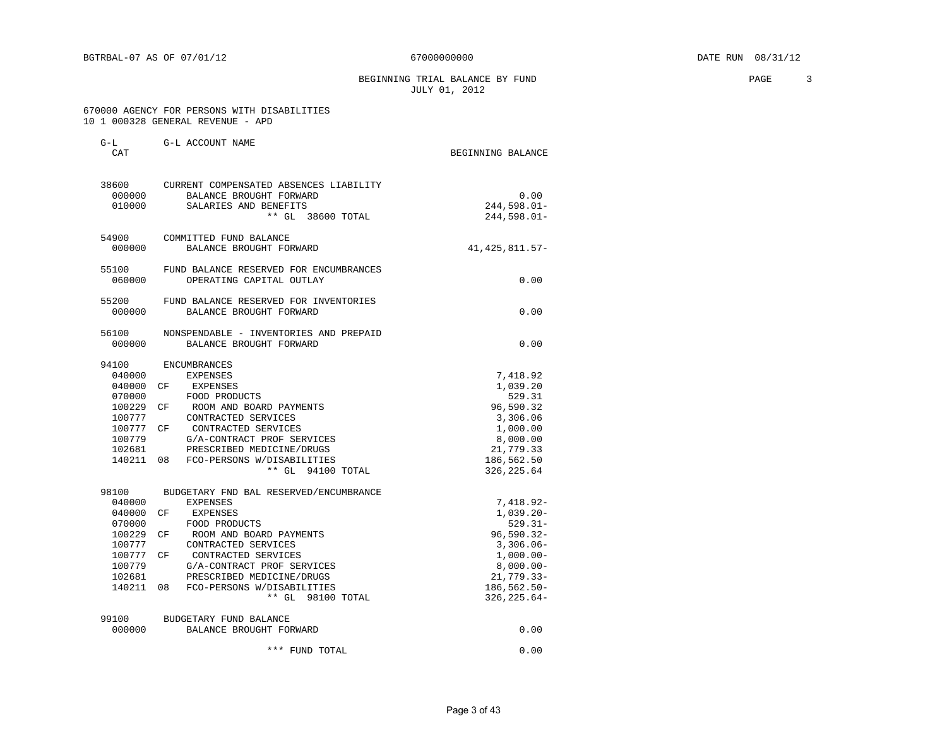BEGINNING TRIAL BALANCE BY FUND **PAGE** 3 JULY 01, 2012

#### 670000 AGENCY FOR PERSONS WITH DISABILITIES 10 1 000328 GENERAL REVENUE - APD

| $G-L$<br>CAT                                                                                    | G-L ACCOUNT NAME                                                                                                                                                                                                                                                                                   | BEGINNING BALANCE                                                                                                                                       |
|-------------------------------------------------------------------------------------------------|----------------------------------------------------------------------------------------------------------------------------------------------------------------------------------------------------------------------------------------------------------------------------------------------------|---------------------------------------------------------------------------------------------------------------------------------------------------------|
| 000000<br>010000                                                                                | 38600 CURRENT COMPENSATED ABSENCES LIABILITY<br>BALANCE BROUGHT FORWARD<br>SALARIES AND BENEFITS<br>** GL 38600 TOTAL                                                                                                                                                                              | 0.00<br>244,598.01-<br>$244,598.01-$                                                                                                                    |
| 000000                                                                                          | 54900 COMMITTED FUND BALANCE<br>BALANCE BROUGHT FORWARD                                                                                                                                                                                                                                            | 41, 425, 811.57-                                                                                                                                        |
| 55100<br>060000                                                                                 | FUND BALANCE RESERVED FOR ENCUMBRANCES<br>OPERATING CAPITAL OUTLAY                                                                                                                                                                                                                                 | 0.00                                                                                                                                                    |
| 55200<br>000000                                                                                 | FUND BALANCE RESERVED FOR INVENTORIES<br>BALANCE BROUGHT FORWARD                                                                                                                                                                                                                                   | 0.00                                                                                                                                                    |
| 56100<br>000000                                                                                 | NONSPENDABLE - INVENTORIES AND PREPAID<br>BALANCE BROUGHT FORWARD                                                                                                                                                                                                                                  | 0.00                                                                                                                                                    |
| 94100<br>040000<br>040000<br>070000<br>100229<br>100777<br>100777<br>100779<br>102681<br>140211 | <b>ENCUMBRANCES</b><br>EXPENSES<br>CF<br>EXPENSES<br>FOOD PRODUCTS<br>CF ROOM AND BOARD PAYMENTS<br>CONTRACTED SERVICES<br>CF CONTRACTED SERVICES<br>G/A-CONTRACT PROF SERVICES<br>PRESCRIBED MEDICINE/DRUGS<br>08 FCO-PERSONS W/DISABILITIES<br>** GL 94100 TOTAL                                 | 7,418.92<br>1,039.20<br>529.31<br>96,590.32<br>3,306.06<br>1,000.00<br>8,000.00<br>21,779.33<br>186,562.50<br>326, 225.64                               |
| 98100<br>040000<br>040000<br>070000<br>100229<br>100777<br>100777<br>100779<br>102681<br>140211 | BUDGETARY FND BAL RESERVED/ENCUMBRANCE<br><b>EXPENSES</b><br>CF<br>EXPENSES<br>FOOD PRODUCTS<br>ROOM AND BOARD PAYMENTS<br>CF<br>CONTRACTED SERVICES<br>CF<br>CONTRACTED SERVICES<br>G/A-CONTRACT PROF SERVICES<br>PRESCRIBED MEDICINE/DRUGS<br>08 FCO-PERSONS W/DISABILITIES<br>** GL 98100 TOTAL | 7,418.92-<br>$1,039.20 -$<br>$529.31-$<br>$96,590.32 -$<br>$3,306.06$ -<br>$1,000.00-$<br>$8,000.00-$<br>$21,779.33-$<br>186,562.50-<br>$326, 225.64 -$ |
| 99100<br>000000                                                                                 | BUDGETARY FUND BALANCE<br>BALANCE BROUGHT FORWARD                                                                                                                                                                                                                                                  | 0.00                                                                                                                                                    |

 <sup>\*\*\*</sup> FUND TOTAL 0.00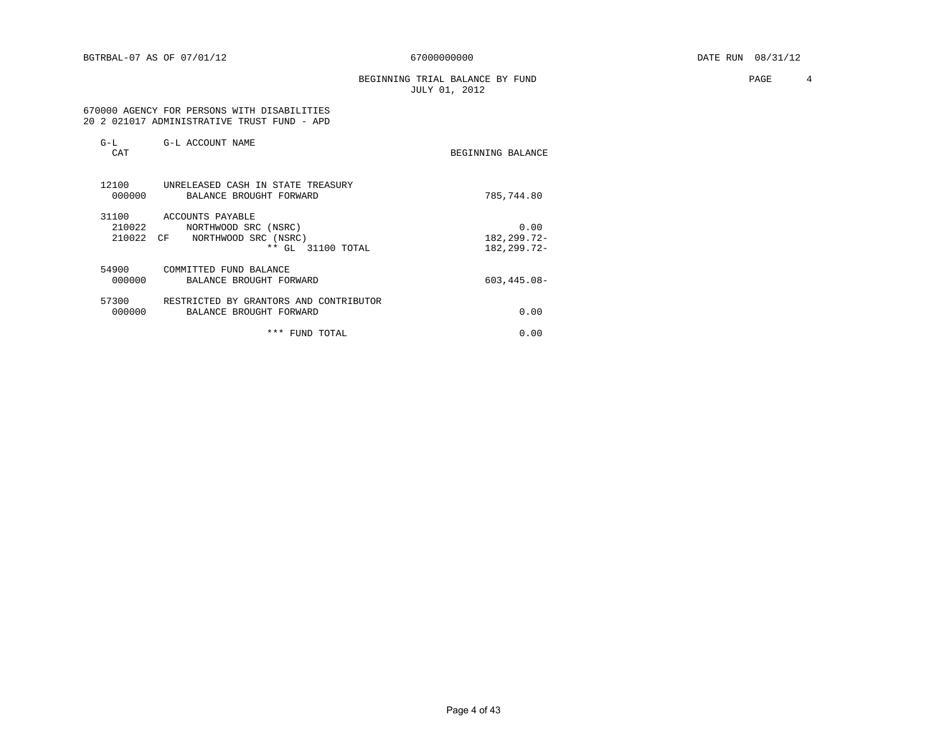BEGINNING TRIAL BALANCE BY FUND **PAGE** 4 JULY 01, 2012

 670000 AGENCY FOR PERSONS WITH DISABILITIES 20 2 021017 ADMINISTRATIVE TRUST FUND - APD

| $G-L$<br>CAT              | G-L ACCOUNT NAME                                                                                                 | BEGINNING BALANCE                    |
|---------------------------|------------------------------------------------------------------------------------------------------------------|--------------------------------------|
| 12100<br>000000           | UNRELEASED CASH IN STATE TREASURY<br>BALANCE BROUGHT FORWARD                                                     | 785,744.80                           |
| 31100<br>210022<br>210022 | ACCOUNTS PAYABLE<br>NORTHWOOD SRC (NSRC)<br>NORTHWOOD SRC (NSRC)<br>CF <sup></sup><br>$***$<br>GL<br>31100 TOTAL | 0.00<br>182,299.72-<br>182, 299. 72- |
| 54900<br>000000           | COMMITTED FUND BALANCE<br>BALANCE BROUGHT FORWARD                                                                | $603, 445.08 -$                      |
| 57300<br>000000           | RESTRICTED BY GRANTORS AND CONTRIBUTOR<br>BALANCE BROUGHT FORWARD                                                | 0.00                                 |
|                           | * * *<br>FUND TOTAL                                                                                              | 0.00                                 |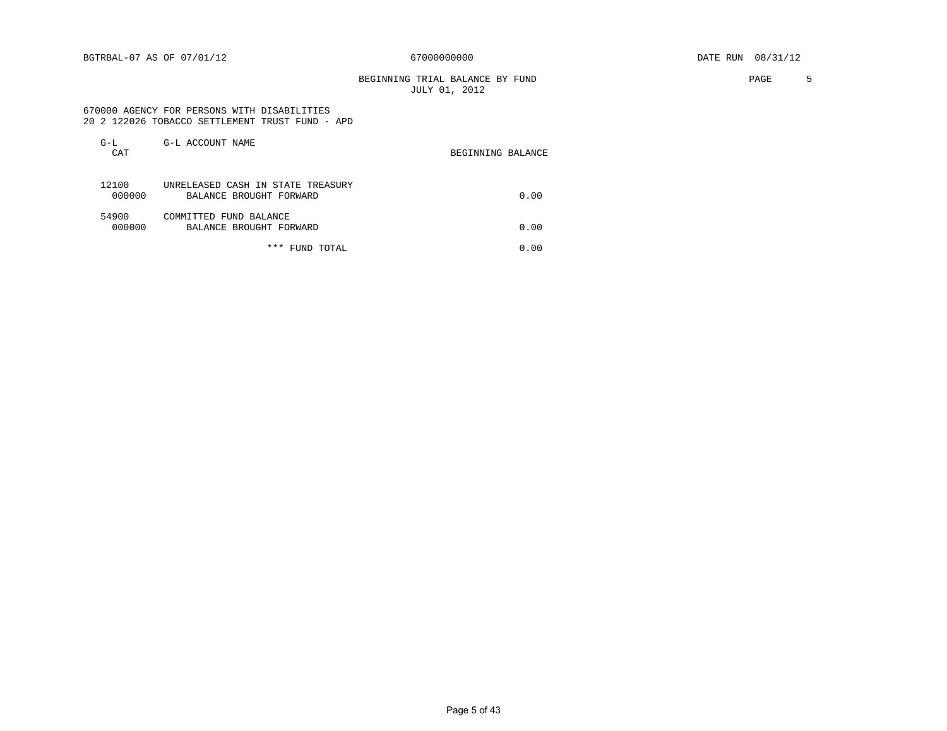BGTRBAL-07 AS OF 07/01/12 67000000000 DATE RUN 08/31/12

BEGINNING TRIAL BALANCE BY FUND **FAGE** 5 JULY 01, 2012

#### 670000 AGENCY FOR PERSONS WITH DISABILITIES 20 2 122026 TOBACCO SETTLEMENT TRUST FUND - APD

| $G-L$<br>CAT    | G-L ACCOUNT NAME                                             | BEGINNING BALANCE |
|-----------------|--------------------------------------------------------------|-------------------|
| 12100<br>000000 | UNRELEASED CASH IN STATE TREASURY<br>BALANCE BROUGHT FORWARD | 0.00              |
| 54900<br>000000 | COMMITTED FUND BALANCE<br>BALANCE BROUGHT FORWARD            | 0.00              |
|                 | * * *<br>FUND TOTAL                                          | 0.00              |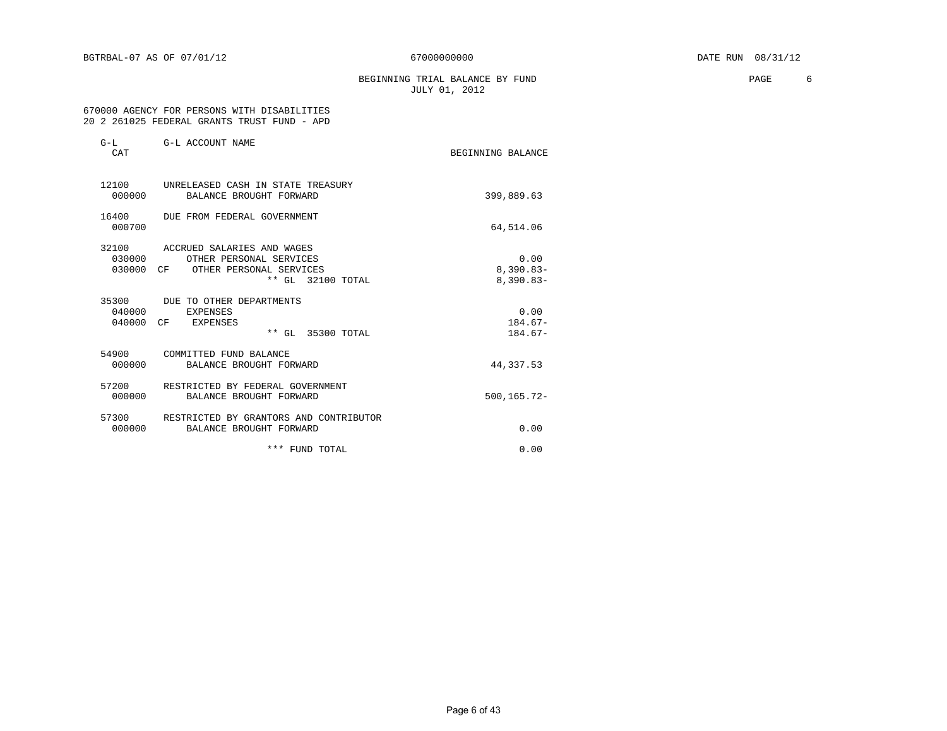BEGINNING TRIAL BALANCE BY FUND **EXAMPLE 1999** PAGE 6 JULY 01, 2012

 670000 AGENCY FOR PERSONS WITH DISABILITIES 20 2 261025 FEDERAL GRANTS TRUST FUND - APD

| $G-L$<br>CAT       | G-L ACCOUNT NAME                                                                                                 | BEGINNING BALANCE                  |
|--------------------|------------------------------------------------------------------------------------------------------------------|------------------------------------|
| 000000             | 12100 UNRELEASED CASH IN STATE TREASURY<br>BALANCE BROUGHT FORWARD                                               | 399,889.63                         |
| 16400<br>000700    | DUE FROM FEDERAL GOVERNMENT                                                                                      | 64,514.06                          |
| 32100<br>030000 CF | ACCRUED SALARIES AND WAGES<br>0.30000<br>OTHER PERSONAL SERVICES<br>OTHER PERSONAL SERVICES<br>** GL 32100 TOTAL | 0.00<br>$8,390.83-$<br>$8,390.83-$ |
| 35300<br>040000    | DUE TO OTHER DEPARTMENTS<br>EXPENSES<br>040000 CF EXPENSES<br>** GL 35300 TOTAL                                  | 0.00<br>$184.67-$<br>$184.67-$     |
| 54900<br>000000    | COMMITTED FUND BALANCE<br>BALANCE BROUGHT FORWARD                                                                | 44,337.53                          |
| 57200<br>000000    | RESTRICTED BY FEDERAL GOVERNMENT<br>BALANCE BROUGHT FORWARD                                                      | 500,165.72-                        |
| 000000             | 57300 RESTRICTED BY GRANTORS AND CONTRIBUTOR<br>BALANCE BROUGHT FORWARD                                          | 0.00                               |
|                    | *** FUND TOTAL                                                                                                   | 0.00                               |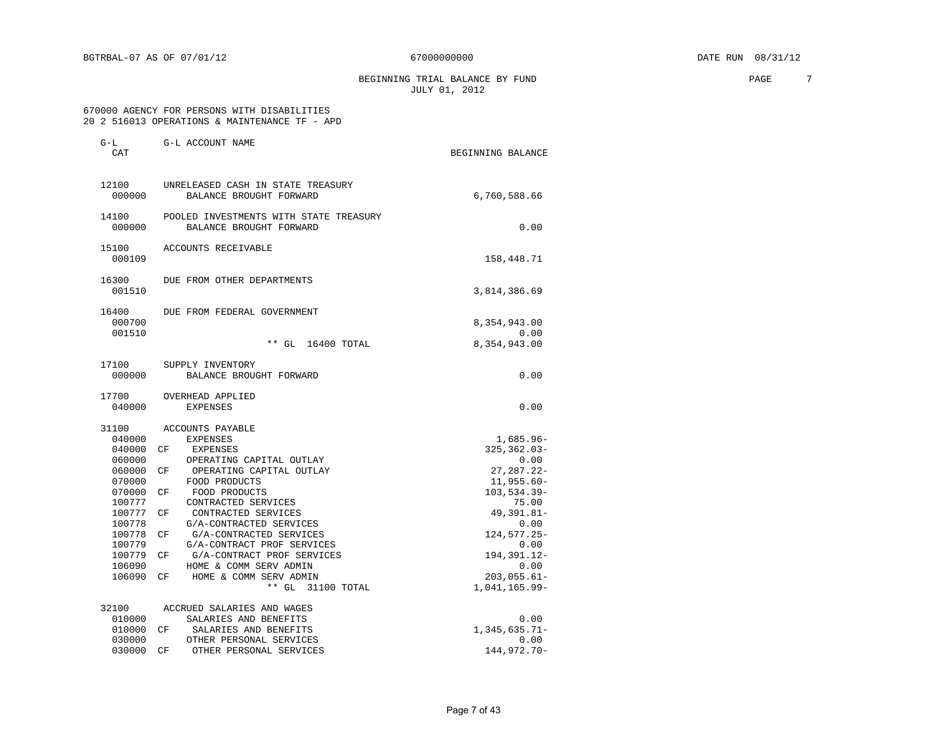BEGINNING TRIAL BALANCE BY FUND **PAGE** 7 JULY 01, 2012

#### 670000 AGENCY FOR PERSONS WITH DISABILITIES 20 2 516013 OPERATIONS & MAINTENANCE TF - APD

| G-L<br>CAT                                                                                                                                        | G-L ACCOUNT NAME                                                                                                                                                                                                                                                                                                                                                                                                             | BEGINNING BALANCE                                                                                                                                                                                                |
|---------------------------------------------------------------------------------------------------------------------------------------------------|------------------------------------------------------------------------------------------------------------------------------------------------------------------------------------------------------------------------------------------------------------------------------------------------------------------------------------------------------------------------------------------------------------------------------|------------------------------------------------------------------------------------------------------------------------------------------------------------------------------------------------------------------|
| 12100<br>000000                                                                                                                                   | UNRELEASED CASH IN STATE TREASURY<br>BALANCE BROUGHT FORWARD                                                                                                                                                                                                                                                                                                                                                                 | 6,760,588.66                                                                                                                                                                                                     |
| 14100<br>000000                                                                                                                                   | POOLED INVESTMENTS WITH STATE TREASURY<br>BALANCE BROUGHT FORWARD                                                                                                                                                                                                                                                                                                                                                            | 0.00                                                                                                                                                                                                             |
| 15100<br>000109                                                                                                                                   | ACCOUNTS RECEIVABLE                                                                                                                                                                                                                                                                                                                                                                                                          | 158,448.71                                                                                                                                                                                                       |
| 16300<br>001510                                                                                                                                   | DUE FROM OTHER DEPARTMENTS                                                                                                                                                                                                                                                                                                                                                                                                   | 3,814,386.69                                                                                                                                                                                                     |
| 16400<br>000700<br>001510                                                                                                                         | DUE FROM FEDERAL GOVERNMENT<br>$**$ GL<br>16400 TOTAL                                                                                                                                                                                                                                                                                                                                                                        | 8,354,943.00<br>0.00<br>8,354,943.00                                                                                                                                                                             |
| 17100<br>000000                                                                                                                                   | SUPPLY INVENTORY<br>BALANCE BROUGHT FORWARD                                                                                                                                                                                                                                                                                                                                                                                  | 0.00                                                                                                                                                                                                             |
| 17700<br>040000                                                                                                                                   | OVERHEAD APPLIED<br><b>EXPENSES</b>                                                                                                                                                                                                                                                                                                                                                                                          | 0.00                                                                                                                                                                                                             |
| 31100<br>040000<br>040000<br>060000<br>060000<br>070000<br>070000<br>100777<br>100777<br>100778<br>100778<br>100779<br>100779<br>106090<br>106090 | ACCOUNTS PAYABLE<br><b>EXPENSES</b><br>CF<br>EXPENSES<br>OPERATING CAPITAL OUTLAY<br>CF<br>OPERATING CAPITAL OUTLAY<br>FOOD PRODUCTS<br>FOOD PRODUCTS<br>СF<br>CONTRACTED SERVICES<br>CONTRACTED SERVICES<br>СF<br>G/A-CONTRACTED SERVICES<br>G/A-CONTRACTED SERVICES<br>СF<br>G/A-CONTRACT PROF SERVICES<br>G/A-CONTRACT PROF SERVICES<br>СF<br>HOME & COMM SERV ADMIN<br>HOME & COMM SERV ADMIN<br>СF<br>** GL 31100 TOTAL | $1,685.96-$<br>$325, 362.03 -$<br>0.00<br>$27, 287.22 -$<br>$11,955.60 -$<br>$103, 534.39 -$<br>75.00<br>49, 391.81-<br>0.00<br>124, 577. 25-<br>0.00<br>194, 391. 12-<br>0.00<br>$203,055.61-$<br>1,041,165.99- |
| 32100<br>010000<br>010000<br>030000                                                                                                               | ACCRUED SALARIES AND WAGES<br>SALARIES AND BENEFITS<br>SALARIES AND BENEFITS<br>CF<br>OTHER PERSONAL SERVICES                                                                                                                                                                                                                                                                                                                | 0.00<br>$1,345,635.71-$<br>0.00                                                                                                                                                                                  |
| 030000                                                                                                                                            | OTHER PERSONAL SERVICES<br>CF                                                                                                                                                                                                                                                                                                                                                                                                | 144,972.70-                                                                                                                                                                                                      |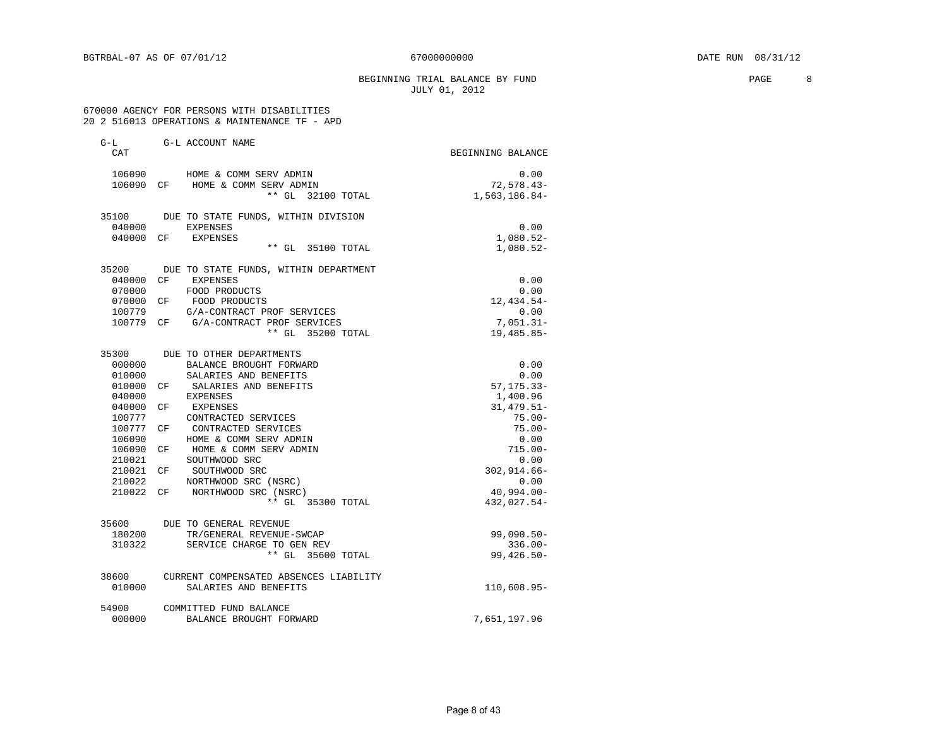#### BEGINNING TRIAL BALANCE BY FUND **PAGE** 8 JULY 01, 2012

#### 670000 AGENCY FOR PERSONS WITH DISABILITIES 20 2 516013 OPERATIONS & MAINTENANCE TF - APD

| $G-L$     |    | G-L ACCOUNT NAME                            |                   |
|-----------|----|---------------------------------------------|-------------------|
| CAT       |    |                                             | BEGINNING BALANCE |
| 106090    |    | HOME & COMM SERV ADMIN                      | 0.00              |
|           |    | 106090 CF HOME & COMM SERV ADMIN            | $72,578.43-$      |
|           |    | ** GL 32100 TOTAL                           | 1,563,186.84-     |
|           |    | 35100 DUE TO STATE FUNDS, WITHIN DIVISION   |                   |
| 040000    |    | <b>EXPENSES</b>                             | 0.00              |
|           |    | 040000 CF EXPENSES                          | $1,080.52-$       |
|           |    | ** GL 35100 TOTAL                           | 1,080.52-         |
|           |    | 35200 DUE TO STATE FUNDS, WITHIN DEPARTMENT |                   |
| 040000 CF |    | EXPENSES                                    | 0.00              |
| 070000    |    | FOOD PRODUCTS                               | 0.00              |
|           |    | 070000 CF FOOD PRODUCTS                     | 12,434.54-        |
| 100779    |    | G/A-CONTRACT PROF SERVICES                  | 0.00              |
|           |    | 100779 CF G/A-CONTRACT PROF SERVICES        | $7,051.31-$       |
|           |    | ** GL 35200 TOTAL                           | $19,485.85-$      |
|           |    | 35300 DUE TO OTHER DEPARTMENTS              |                   |
| 000000    |    | BALANCE BROUGHT FORWARD                     | 0.00              |
| 010000    |    | SALARIES AND BENEFITS                       | 0.00              |
|           |    | 010000 CF SALARIES AND BENEFITS             | $57, 175.33 -$    |
| 040000    |    | EXPENSES                                    | 1,400.96          |
| 040000    | CF | EXPENSES                                    | $31,479.51-$      |
| 100777    |    | CONTRACTED SERVICES                         | $75.00 -$         |
| 100777 CF |    | CONTRACTED SERVICES                         | $75.00 -$         |
| 106090    |    | HOME & COMM SERV ADMIN                      | 0.00              |
| 106090 CF |    | HOME & COMM SERV ADMIN                      | $715.00 -$        |
| 210021    |    | SOUTHWOOD SRC                               | 0.00              |
| 210021 CF |    | SOUTHWOOD SRC                               | $302, 914.66 -$   |
| 210022    |    | NORTHWOOD SRC (NSRC)                        | 0.00              |
| 210022 CF |    | NORTHWOOD SRC (NSRC)                        | 40,994.00-        |
|           |    | ** GL 35300 TOTAL                           | 432,027.54-       |
|           |    | 35600 DUE TO GENERAL REVENUE                |                   |
| 180200    |    | TR/GENERAL REVENUE-SWCAP                    | $99,090.50 -$     |
| 310322    |    | SERVICE CHARGE TO GEN REV                   | $336.00 -$        |
|           |    | ** GL 35600 TOTAL                           | $99,426.50 -$     |
| 38600     |    | CURRENT COMPENSATED ABSENCES LIABILITY      |                   |
| 010000    |    | SALARIES AND BENEFITS                       | 110,608.95-       |
| 54900     |    | COMMITTED FUND BALANCE                      |                   |
| 000000    |    | BALANCE BROUGHT FORWARD                     | 7,651,197.96      |
|           |    |                                             |                   |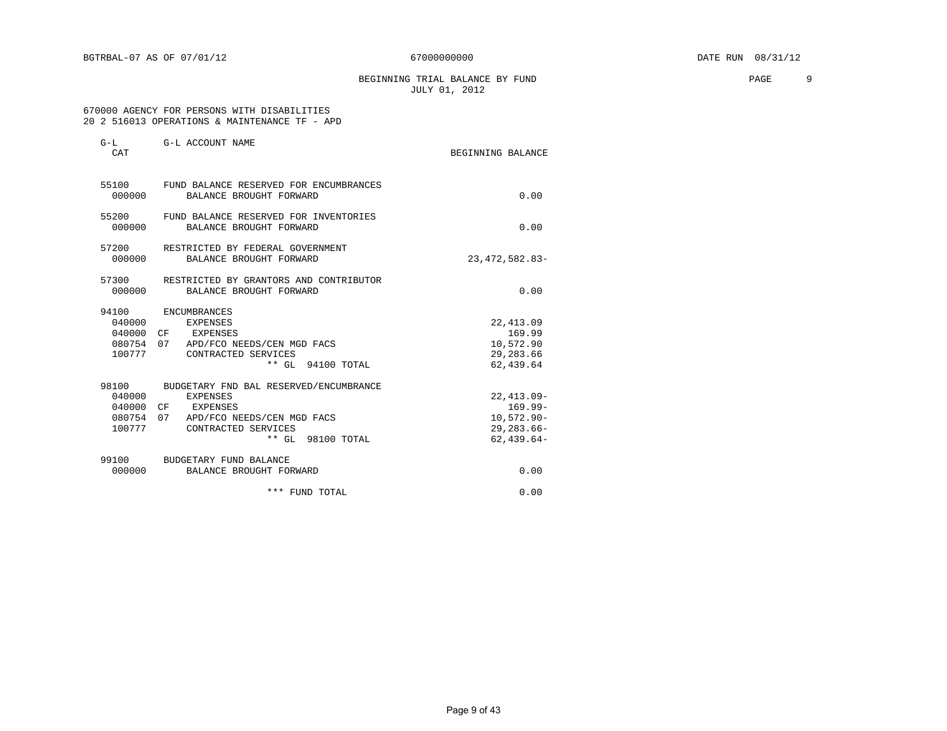BEGINNING TRIAL BALANCE BY FUND **PAGE** 9 JULY 01, 2012

#### 670000 AGENCY FOR PERSONS WITH DISABILITIES 20 2 516013 OPERATIONS & MAINTENANCE TF - APD

| $G-L$<br>CAT    | G-L ACCOUNT NAME                                                                                                                                                    | BEGINNING BALANCE                                                             |
|-----------------|---------------------------------------------------------------------------------------------------------------------------------------------------------------------|-------------------------------------------------------------------------------|
| 000000          | 55100 FUND BALANCE RESERVED FOR ENCUMBRANCES<br>BALANCE BROUGHT FORWARD                                                                                             | 0.00                                                                          |
| 000000          | 55200 FUND BALANCE RESERVED FOR INVENTORIES<br>BALANCE BROUGHT FORWARD                                                                                              | 0.00                                                                          |
| 57200<br>000000 | RESTRICTED BY FEDERAL GOVERNMENT<br>BALANCE BROUGHT FORWARD                                                                                                         | 23, 472, 582.83-                                                              |
| 000000          | 57300 RESTRICTED BY GRANTORS AND CONTRIBUTOR<br>BALANCE BROUGHT FORWARD                                                                                             | 0.00                                                                          |
| 94100<br>100777 | ENCUMBRANCES<br>040000 EXPENSES<br>040000 CF EXPENSES<br>080754 07 APD/FCO NEEDS/CEN MGD FACS<br>CONTRACTED SERVICES<br>** GL 94100 TOTAL                           | 22, 413.09<br>169.99<br>10,572.90<br>29, 283.66<br>62,439.64                  |
| 98100<br>100777 | BUDGETARY FND BAL RESERVED/ENCUMBRANCE<br>040000 EXPENSES<br>040000 CF EXPENSES<br>080754 07 APD/FCO NEEDS/CEN MGD FACS<br>CONTRACTED SERVICES<br>** GL 98100 TOTAL | $22,413.09-$<br>$169.99 -$<br>$10,572.90 -$<br>$29, 283.66 -$<br>$62,439.64-$ |
|                 | 99100 BUDGETARY FUND BALANCE<br>000000 BALANCE BROUGHT FORWARD                                                                                                      | 0.00                                                                          |
|                 | *** FUND TOTAL                                                                                                                                                      | 0.00                                                                          |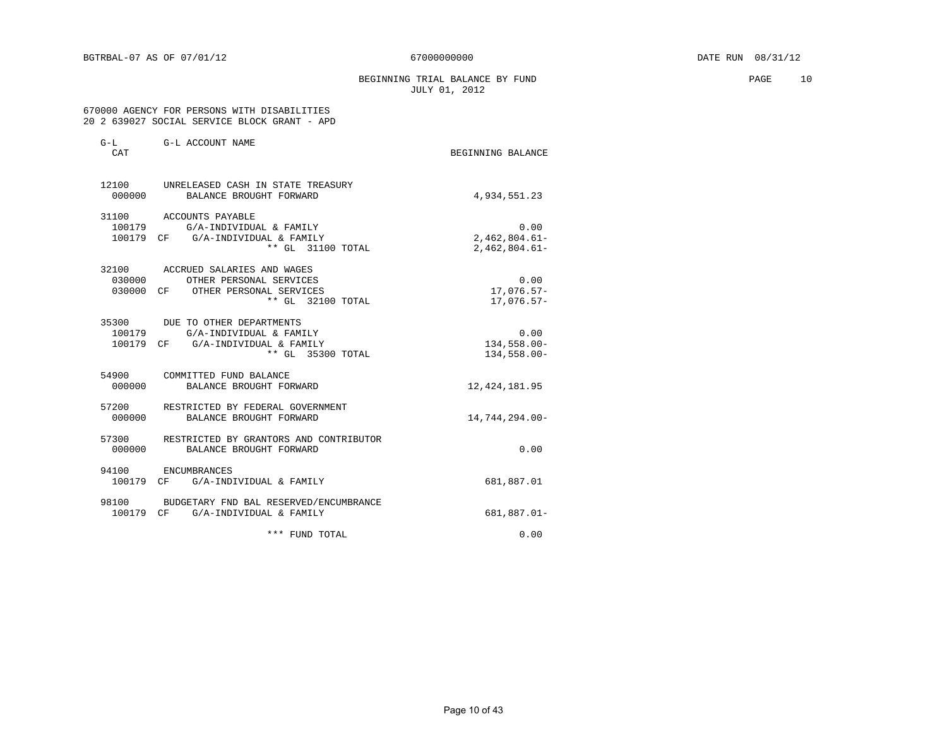BEGINNING TRIAL BALANCE BY FUND **PAGE** 10 JULY 01, 2012

#### 670000 AGENCY FOR PERSONS WITH DISABILITIES 20 2 639027 SOCIAL SERVICE BLOCK GRANT - APD

| $G-L$<br>CAT    | G-L ACCOUNT NAME                                                                                                       | BEGINNING BALANCE                          |
|-----------------|------------------------------------------------------------------------------------------------------------------------|--------------------------------------------|
| 12100<br>000000 | UNRELEASED CASH IN STATE TREASURY<br>BALANCE BROUGHT FORWARD                                                           | 4,934,551.23                               |
| 31100           | ACCOUNTS PAYABLE<br>100179 G/A-INDIVIDUAL & FAMILY<br>100179 CF G/A-INDIVIDUAL & FAMILY<br>** GL 31100 TOTAL           | 0.00<br>$2,462,804.61-$<br>$2,462,804.61-$ |
| 32100           | ACCRUED SALARIES AND WAGES<br>030000 OTHER PERSONAL SERVICES<br>030000 CF OTHER PERSONAL SERVICES<br>** GL 32100 TOTAL | 0.00<br>$17,076.57-$<br>$17,076.57-$       |
| 100179          | 35300 DUE TO OTHER DEPARTMENTS<br>G/A-INDIVIDUAL & FAMILY<br>100179 CF G/A-INDIVIDUAL & FAMILY<br>** GL 35300 TOTAL    | 0.00<br>134,558.00-<br>134,558.00-         |
| 54900<br>000000 | COMMITTED FUND BALANCE<br>BALANCE BROUGHT FORWARD                                                                      | 12, 424, 181.95                            |
| 57200<br>000000 | RESTRICTED BY FEDERAL GOVERNMENT<br>BALANCE BROUGHT FORWARD                                                            | 14,744,294.00-                             |
| 57300<br>000000 | RESTRICTED BY GRANTORS AND CONTRIBUTOR<br>BALANCE BROUGHT FORWARD                                                      | 0.00                                       |
| 94100           | ENCUMBRANCES<br>100179 CF G/A-INDIVIDUAL & FAMILY                                                                      | 681,887.01                                 |
| 98100           | BUDGETARY FND BAL RESERVED/ENCUMBRANCE<br>100179 CF G/A-INDIVIDUAL & FAMILY                                            | 681,887.01-                                |
|                 | *** FUND TOTAL                                                                                                         | 0.00                                       |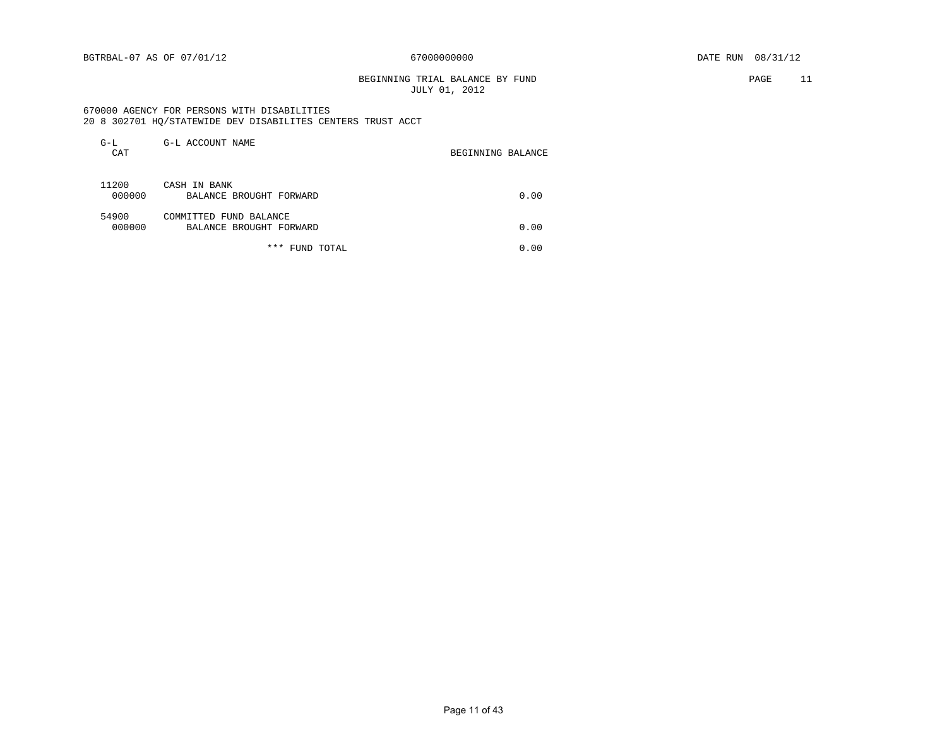#### BEGINNING TRIAL BALANCE BY FUND **PAGE 11** JULY 01, 2012

 670000 AGENCY FOR PERSONS WITH DISABILITIES 20 8 302701 HQ/STATEWIDE DEV DISABILITES CENTERS TRUST ACCT

| $G-L$<br>CAT    | G-L ACCOUNT NAME                                  | BEGINNING BALANCE |
|-----------------|---------------------------------------------------|-------------------|
| 11200<br>000000 | CASH IN BANK<br>BALANCE BROUGHT FORWARD           | 0.00              |
| 54900<br>000000 | COMMITTED FUND BALANCE<br>BALANCE BROUGHT FORWARD | 0.00              |
|                 | ***<br>FUND TOTAL                                 | 0.00              |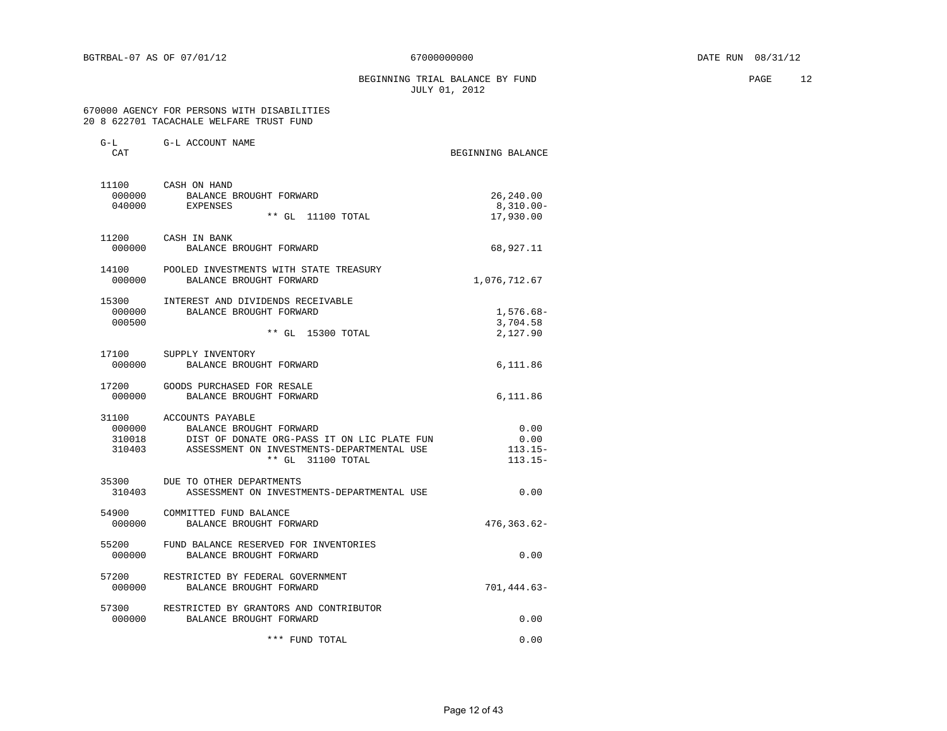#### BEGINNING TRIAL BALANCE BY FUND **PAGE** 12 JULY 01, 2012

#### 670000 AGENCY FOR PERSONS WITH DISABILITIES 20 8 622701 TACACHALE WELFARE TRUST FUND

G-L G-L ACCOUNT NAME

| \ T _ 1_1<br>CAT          | G-D UCCOONI INDUS                                                                                                                                                          | BEGINNING BALANCE                      |
|---------------------------|----------------------------------------------------------------------------------------------------------------------------------------------------------------------------|----------------------------------------|
| 000000                    | 11100 CASH ON HAND<br>BALANCE BROUGHT FORWARD<br>040000 EXPENSES<br>** GL 11100 TOTAL                                                                                      | 26,240.00<br>$8,310.00 -$<br>17,930.00 |
| 11200<br>000000           | CASH IN BANK<br>BALANCE BROUGHT FORWARD                                                                                                                                    | 68,927.11                              |
| 14100<br>000000           | POOLED INVESTMENTS WITH STATE TREASURY<br>BALANCE BROUGHT FORWARD                                                                                                          | 1,076,712.67                           |
| 15300<br>000000<br>000500 | INTEREST AND DIVIDENDS RECEIVABLE<br>BALANCE BROUGHT FORWARD<br>** GL 15300 TOTAL                                                                                          | $1,576.68-$<br>3,704.58<br>2,127.90    |
| 17100<br>000000           | SUPPLY INVENTORY<br>BALANCE BROUGHT FORWARD                                                                                                                                | 6,111.86                               |
| 000000                    | 17200 GOODS PURCHASED FOR RESALE<br>BALANCE BROUGHT FORWARD                                                                                                                | 6,111.86                               |
| 310018<br>310403          | 31100 ACCOUNTS PAYABLE<br>000000 BALANCE BROUGHT FORWARD<br>DIST OF DONATE ORG-PASS IT ON LIC PLATE FUN<br>ASSESSMENT ON INVESTMENTS-DEPARTMENTAL USE<br>** GL 31100 TOTAL | 0.00<br>0.00<br>$113.15-$<br>$113.15-$ |
| 310403                    | 35300 DUE TO OTHER DEPARTMENTS<br>ASSESSMENT ON INVESTMENTS-DEPARTMENTAL USE                                                                                               | 0.00                                   |
| 54900<br>000000           | COMMITTED FUND BALANCE<br>BALANCE BROUGHT FORWARD                                                                                                                          | 476, 363.62-                           |
| 55200<br>000000           | FUND BALANCE RESERVED FOR INVENTORIES<br>BALANCE BROUGHT FORWARD                                                                                                           | 0.00                                   |
| 57200<br>000000           | RESTRICTED BY FEDERAL GOVERNMENT<br>BALANCE BROUGHT FORWARD                                                                                                                | $701, 444.63 -$                        |
| 57300<br>000000           | RESTRICTED BY GRANTORS AND CONTRIBUTOR<br>BALANCE BROUGHT FORWARD                                                                                                          | 0.00                                   |
|                           | *** FUND TOTAL                                                                                                                                                             | 0.00                                   |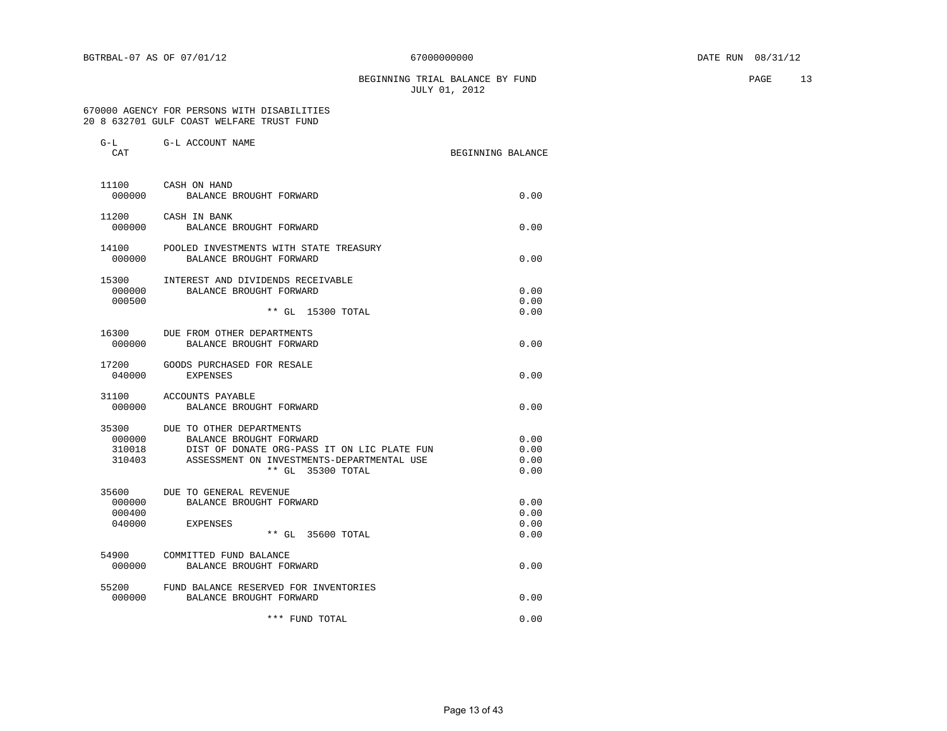#### BEGINNING TRIAL BALANCE BY FUND **PAGE** 13 JULY 01, 2012

#### 670000 AGENCY FOR PERSONS WITH DISABILITIES 20 8 632701 GULF COAST WELFARE TRUST FUND

| G-L<br>CAT                | G-L ACCOUNT NAME                                                                                                                                                             | BEGINNING BALANCE |                              |
|---------------------------|------------------------------------------------------------------------------------------------------------------------------------------------------------------------------|-------------------|------------------------------|
| 000000                    | 11100 CASH ON HAND<br>BALANCE BROUGHT FORWARD                                                                                                                                |                   | 0.00                         |
| 000000                    | 11200 CASH IN BANK<br>BALANCE BROUGHT FORWARD                                                                                                                                |                   | 0.00                         |
| 000000                    | 14100 POOLED INVESTMENTS WITH STATE TREASURY<br>BALANCE BROUGHT FORWARD                                                                                                      |                   | 0.00                         |
| 000000<br>000500          | 15300 INTEREST AND DIVIDENDS RECEIVABLE<br>BALANCE BROUGHT FORWARD<br>** GL 15300 TOTAL                                                                                      |                   | 0.00<br>0.00<br>0.00         |
| 000000                    | 16300 DUE FROM OTHER DEPARTMENTS<br>BALANCE BROUGHT FORWARD                                                                                                                  |                   | 0.00                         |
| 040000                    | 17200 GOODS PURCHASED FOR RESALE<br><b>EXPENSES</b>                                                                                                                          |                   | 0.00                         |
| 000000                    | 31100 ACCOUNTS PAYABLE<br>BALANCE BROUGHT FORWARD                                                                                                                            |                   | 0.00                         |
| 35300<br>310018<br>310403 | DUE TO OTHER DEPARTMENTS<br>000000 BALANCE BROUGHT FORWARD<br>DIST OF DONATE ORG-PASS IT ON LIC PLATE FUN<br>ASSESSMENT ON INVESTMENTS-DEPARTMENTAL USE<br>** GL 35300 TOTAL |                   | 0.00<br>0.00<br>0.00<br>0.00 |
| 000400<br>040000          | 35600 DUE TO GENERAL REVENUE<br>000000 BALANCE BROUGHT FORWARD<br><b>EXPENSES</b><br>** GL 35600 TOTAL                                                                       |                   | 0.00<br>0.00<br>0.00<br>0.00 |
| 000000                    | 54900 COMMITTED FUND BALANCE<br>BALANCE BROUGHT FORWARD                                                                                                                      |                   | 0.00                         |
| 000000                    | 55200 FUND BALANCE RESERVED FOR INVENTORIES<br>BALANCE BROUGHT FORWARD                                                                                                       |                   | 0.00                         |
|                           | *** FUND TOTAL                                                                                                                                                               |                   | 0.00                         |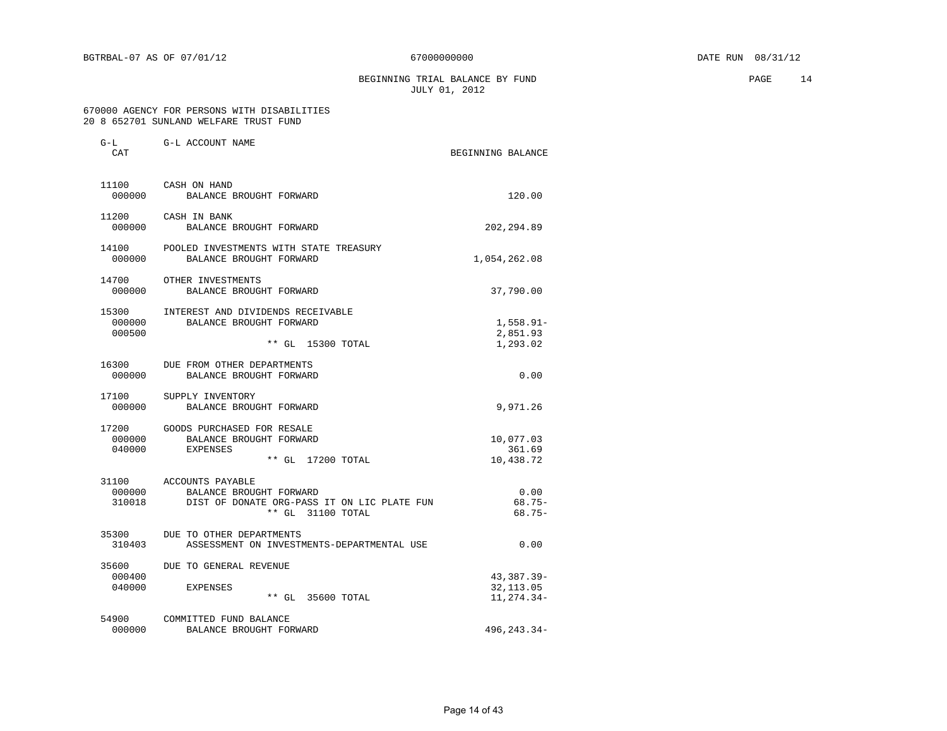BEGINNING TRIAL BALANCE BY FUND **PAGE** 14 JULY 01, 2012

#### 670000 AGENCY FOR PERSONS WITH DISABILITIES 20 8 652701 SUNLAND WELFARE TRUST FUND

| $G-L$<br>CAT     | G-L ACCOUNT NAME                                                                                                             | BEGINNING BALANCE                      |
|------------------|------------------------------------------------------------------------------------------------------------------------------|----------------------------------------|
| 000000           | 11100 CASH ON HAND<br>BALANCE BROUGHT FORWARD                                                                                | 120.00                                 |
| 000000           | 11200 CASH IN BANK<br>BALANCE BROUGHT FORWARD                                                                                | 202, 294.89                            |
| 000000           | 14100 POOLED INVESTMENTS WITH STATE TREASURY<br>BALANCE BROUGHT FORWARD                                                      | 1,054,262.08                           |
| 000000           | 14700 OTHER INVESTMENTS<br>BALANCE BROUGHT FORWARD                                                                           | 37,790.00                              |
| 000000<br>000500 | 15300 INTEREST AND DIVIDENDS RECEIVABLE<br>BALANCE BROUGHT FORWARD<br>** GL 15300 TOTAL                                      | $1,558.91-$<br>2,851.93<br>1,293.02    |
|                  | 16300 DUE FROM OTHER DEPARTMENTS<br>000000 BALANCE BROUGHT FORWARD                                                           | 0.00                                   |
| 17100            | SUPPLY INVENTORY<br>000000 BALANCE BROUGHT FORWARD                                                                           | 9,971.26                               |
|                  | 17200 GOODS PURCHASED FOR RESALE<br>000000 BALANCE BROUGHT FORWARD<br>040000 EXPENSES<br>** GL 17200 TOTAL                   | 10,077.03<br>361.69<br>10,438.72       |
| 310018           | 31100 ACCOUNTS PAYABLE<br>000000 BALANCE BROUGHT FORWARD<br>DIST OF DONATE ORG-PASS IT ON LIC PLATE FUN<br>** GL 31100 TOTAL | 0.00<br>$68.75-$<br>$68.75-$           |
| 310403           | 35300 DUE TO OTHER DEPARTMENTS<br>ASSESSMENT ON INVESTMENTS-DEPARTMENTAL USE                                                 | 0.00                                   |
| 000400<br>040000 | 35600 DUE TO GENERAL REVENUE<br>EXPENSES<br>** GL 35600 TOTAL                                                                | 43,387.39-<br>32, 113.05<br>11,274.34- |
| 54900<br>000000  | COMMITTED FUND BALANCE<br>BALANCE BROUGHT FORWARD                                                                            | $496.243.34-$                          |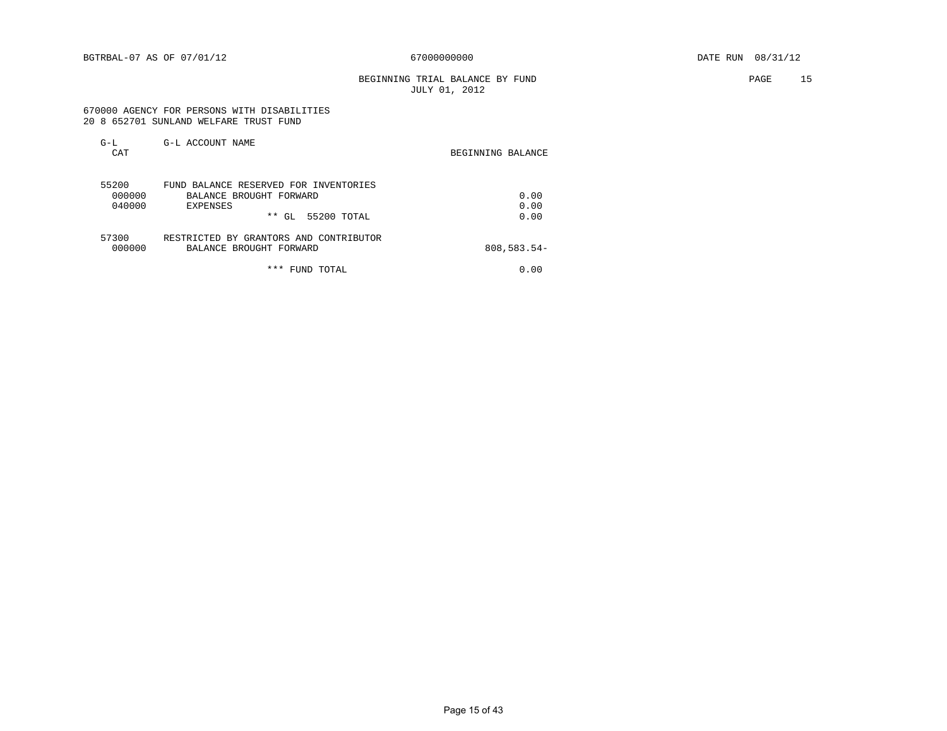BEGINNING TRIAL BALANCE BY FUND **PAGE 15** JULY 01, 2012

#### 670000 AGENCY FOR PERSONS WITH DISABILITIES 20 8 652701 SUNLAND WELFARE TRUST FUND

| $G-L$<br>CAT | G-L ACCOUNT NAME                       | BEGINNING BALANCE |
|--------------|----------------------------------------|-------------------|
| 55200        | FUND BALANCE RESERVED FOR INVENTORIES  |                   |
| 000000       | BALANCE BROUGHT FORWARD                | 0.00              |
| 040000       | EXPENSES                               | 0.00              |
|              | $***$<br>55200 TOTAL<br>GL             | 0.00              |
| 57300        | RESTRICTED BY GRANTORS AND CONTRIBUTOR |                   |
| 000000       | BALANCE BROUGHT FORWARD                | $808,583.54-$     |
|              | ***<br>FUND TOTAL                      | 0.00              |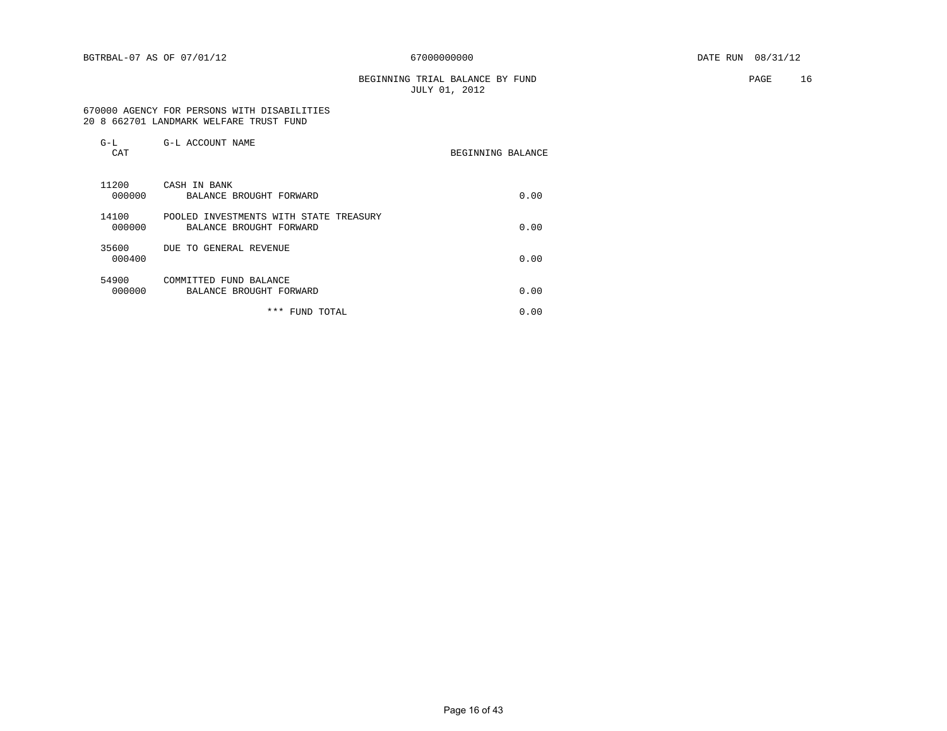BEGINNING TRIAL BALANCE BY FUND **PAGE** 16 JULY 01, 2012

#### 670000 AGENCY FOR PERSONS WITH DISABILITIES 20 8 662701 LANDMARK WELFARE TRUST FUND

| $G-L$<br>CAT    | G-L ACCOUNT NAME                                                  | BEGINNING BALANCE |      |
|-----------------|-------------------------------------------------------------------|-------------------|------|
| 11200<br>000000 | CASH IN BANK<br>BALANCE BROUGHT FORWARD                           |                   | 0.00 |
| 14100<br>000000 | POOLED INVESTMENTS WITH STATE TREASURY<br>BALANCE BROUGHT FORWARD |                   | 0.00 |
| 35600<br>000400 | DUE TO GENERAL REVENUE                                            |                   | 0.00 |
| 54900<br>000000 | COMMITTED FUND BALANCE<br>BALANCE BROUGHT FORWARD                 |                   | 0.00 |
|                 | ***<br>FUND TOTAL                                                 |                   | 0.00 |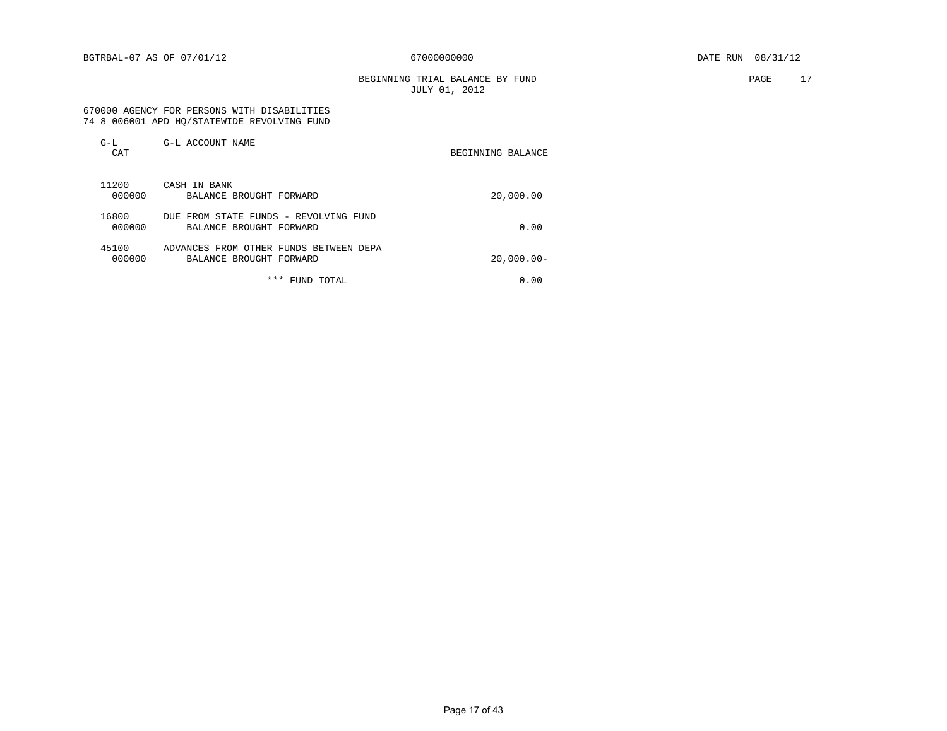BEGINNING TRIAL BALANCE BY FUND **PAGE** 17 JULY 01, 2012

#### 670000 AGENCY FOR PERSONS WITH DISABILITIES 74 8 006001 APD HQ/STATEWIDE REVOLVING FUND

| $G-L$<br>CAT    | G-L ACCOUNT NAME                                                  | BEGINNING BALANCE |
|-----------------|-------------------------------------------------------------------|-------------------|
| 11200<br>000000 | CASH IN BANK<br>BALANCE BROUGHT FORWARD                           | 20,000.00         |
| 16800<br>000000 | DUE FROM STATE FUNDS - REVOLVING FUND<br>BALANCE BROUGHT FORWARD  | 0.00              |
| 45100<br>000000 | ADVANCES FROM OTHER FUNDS BETWEEN DEPA<br>BALANCE BROUGHT FORWARD | $20,000.00 -$     |
|                 | * * *<br>FUND TOTAL                                               | 0.00              |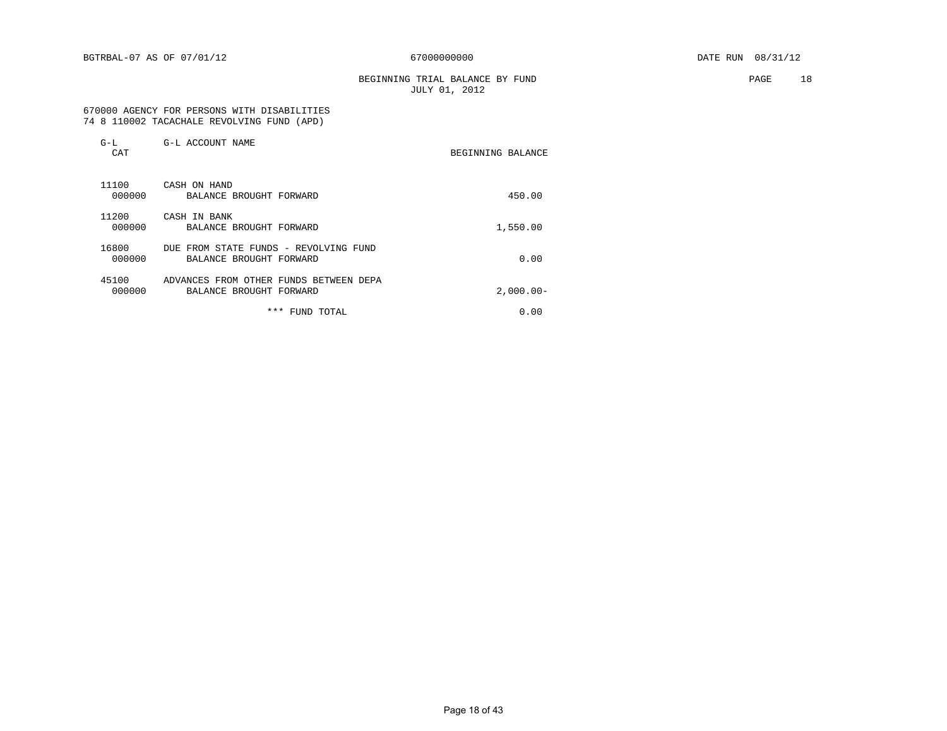BEGINNING TRIAL BALANCE BY FUND **PAGE** 18 JULY 01, 2012

#### 670000 AGENCY FOR PERSONS WITH DISABILITIES 74 8 110002 TACACHALE REVOLVING FUND (APD)

| $G-L$<br>CAT    | G-L ACCOUNT NAME                                                  | BEGINNING BALANCE |
|-----------------|-------------------------------------------------------------------|-------------------|
| 11100<br>000000 | CASH ON HAND<br>BALANCE BROUGHT FORWARD                           | 450.00            |
| 11200<br>000000 | CASH IN BANK<br>BALANCE BROUGHT FORWARD                           | 1,550.00          |
| 16800<br>000000 | DUE FROM STATE FUNDS - REVOLVING FUND<br>BALANCE BROUGHT FORWARD  | 0.00              |
| 45100<br>000000 | ADVANCES FROM OTHER FUNDS BETWEEN DEPA<br>BALANCE BROUGHT FORWARD | $2,000.00 -$      |
|                 | * * *<br>FUND TOTAL                                               | 0.00              |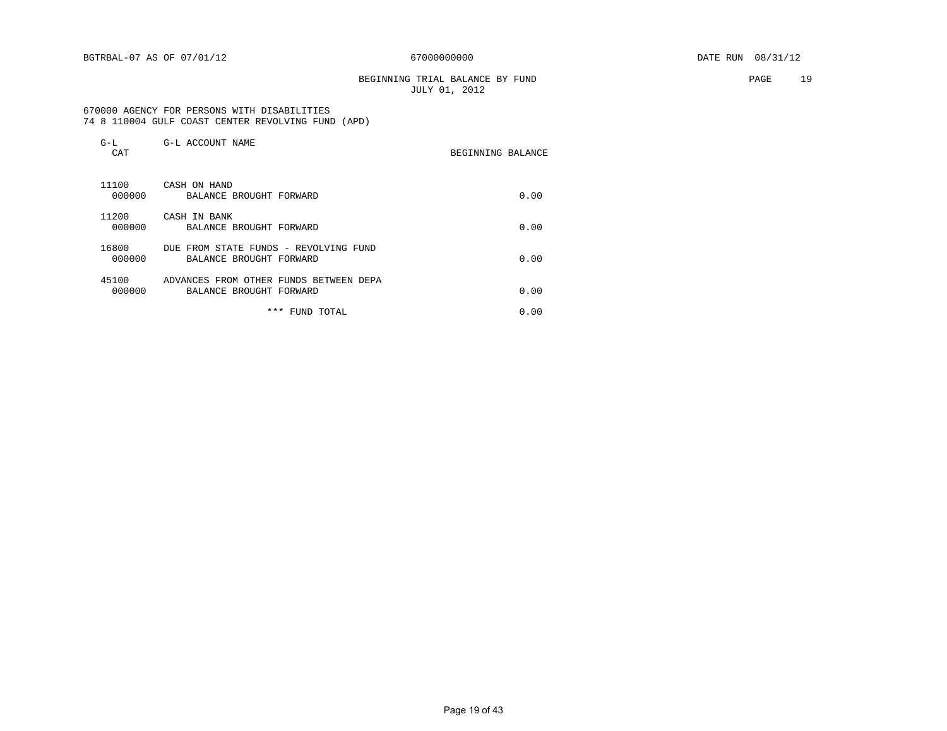#### BEGINNING TRIAL BALANCE BY FUND **PAGE** 19 JULY 01, 2012

 670000 AGENCY FOR PERSONS WITH DISABILITIES 74 8 110004 GULF COAST CENTER REVOLVING FUND (APD)

| $G-L$<br>CAT    | G-L ACCOUNT NAME                                                  | BEGINNING BALANCE |  |
|-----------------|-------------------------------------------------------------------|-------------------|--|
| 11100<br>000000 | CASH ON HAND<br>BALANCE BROUGHT FORWARD                           | 0.00              |  |
| 11200<br>000000 | CASH IN BANK<br>BALANCE BROUGHT FORWARD                           | 0.00              |  |
| 16800<br>000000 | DUE FROM STATE FUNDS - REVOLVING FUND<br>BALANCE BROUGHT FORWARD  | 0.00              |  |
| 45100<br>000000 | ADVANCES FROM OTHER FUNDS BETWEEN DEPA<br>BALANCE BROUGHT FORWARD | 0.00              |  |
|                 | * * *<br>FUND TOTAL                                               | 0.00              |  |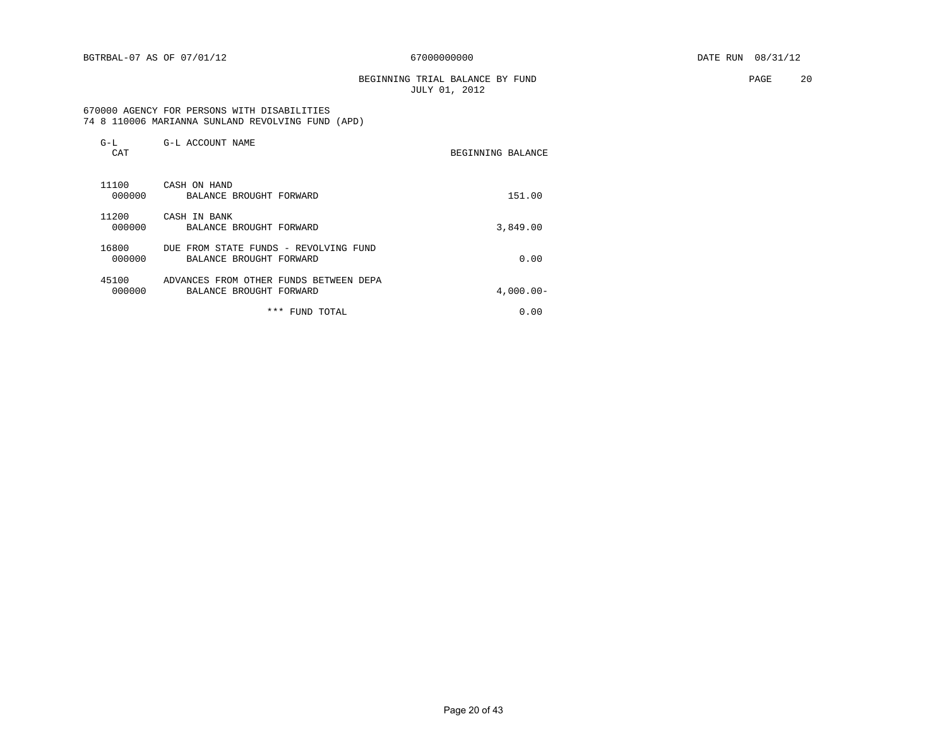BEGINNING TRIAL BALANCE BY FUND **PAGE** 20 JULY 01, 2012

 670000 AGENCY FOR PERSONS WITH DISABILITIES 74 8 110006 MARIANNA SUNLAND REVOLVING FUND (APD)

| $G-L$<br>CAT    | G-L ACCOUNT NAME                                                  | BEGINNING BALANCE |             |
|-----------------|-------------------------------------------------------------------|-------------------|-------------|
| 11100<br>000000 | CASH ON HAND<br>BALANCE BROUGHT FORWARD                           |                   | 151.00      |
| 11200<br>000000 | CASH IN BANK<br>BALANCE BROUGHT FORWARD                           |                   | 3,849.00    |
| 16800<br>000000 | DUE FROM STATE FUNDS - REVOLVING FUND<br>BALANCE BROUGHT FORWARD  |                   | 0.00        |
| 45100<br>000000 | ADVANCES FROM OTHER FUNDS BETWEEN DEPA<br>BALANCE BROUGHT FORWARD |                   | $4,000.00-$ |
|                 | ***<br>FUND TOTAL                                                 |                   | 0.00        |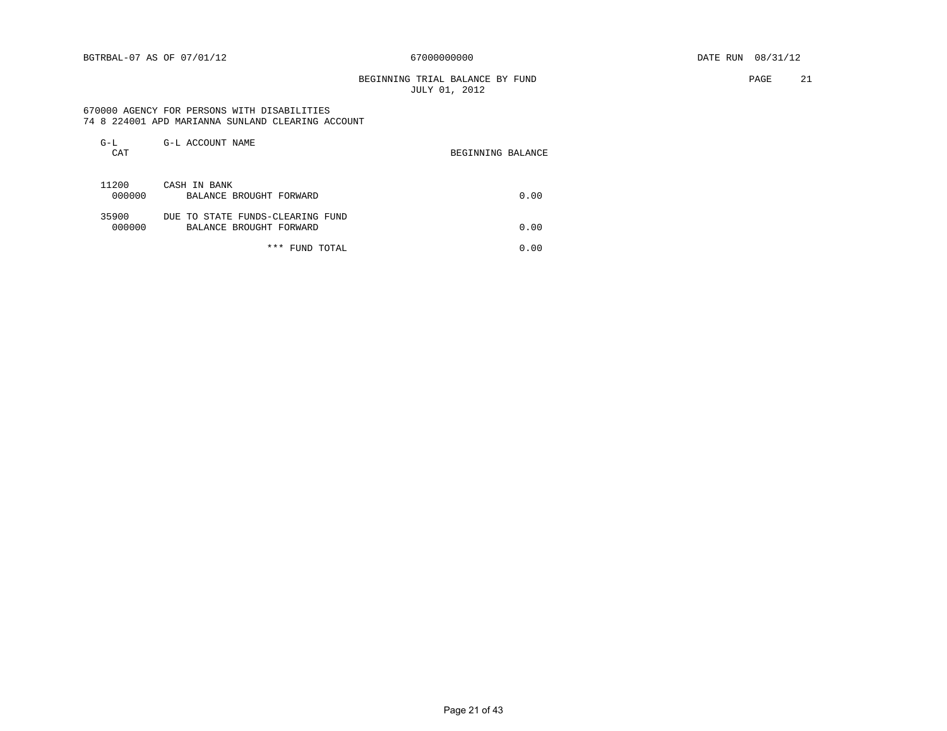#### BEGINNING TRIAL BALANCE BY FUND **PAGE** 21 JULY 01, 2012

#### 670000 AGENCY FOR PERSONS WITH DISABILITIES 74 8 224001 APD MARIANNA SUNLAND CLEARING ACCOUNT

| $G-L$<br>CAT    | G-L ACCOUNT NAME                                            | BEGINNING BALANCE |
|-----------------|-------------------------------------------------------------|-------------------|
| 11200<br>000000 | CASH IN BANK<br>BALANCE BROUGHT FORWARD                     | 0.00              |
| 35900<br>000000 | DUE TO STATE FUNDS-CLEARING FUND<br>BALANCE BROUGHT FORWARD | 0.00              |
|                 | * * *<br>FUND TOTAL                                         | 0.00              |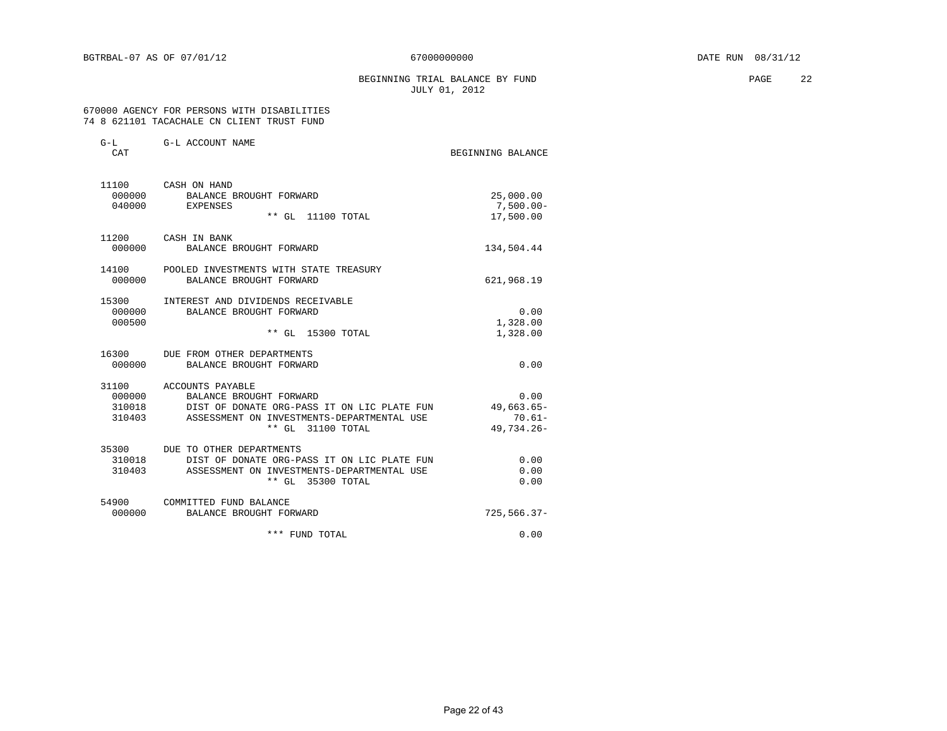BEGINNING TRIAL BALANCE BY FUND **PAGE** 22 JULY 01, 2012

#### 670000 AGENCY FOR PERSONS WITH DISABILITIES 74 8 621101 TACACHALE CN CLIENT TRUST FUND

| G-L<br>CAT                | G-L ACCOUNT NAME                                                                                                                                                                         | BEGINNING BALANCE                                |
|---------------------------|------------------------------------------------------------------------------------------------------------------------------------------------------------------------------------------|--------------------------------------------------|
| 040000                    | 11100 CASH ON HAND<br>000000 BALANCE BROUGHT FORWARD<br>EXPENSES<br>** GL 11100 TOTAL                                                                                                    | 25,000.00<br>$7,500.00 -$<br>17,500.00           |
| 11200<br>000000           | CASH IN BANK<br>BALANCE BROUGHT FORWARD                                                                                                                                                  | 134,504.44                                       |
| 14100<br>000000           | POOLED INVESTMENTS WITH STATE TREASURY<br>BALANCE BROUGHT FORWARD                                                                                                                        | 621,968.19                                       |
| 15300<br>000000<br>000500 | INTEREST AND DIVIDENDS RECEIVABLE<br>BALANCE BROUGHT FORWARD<br>** GL 15300 TOTAL                                                                                                        | 0.00<br>1,328.00<br>1,328.00                     |
| 000000                    | 16300 DUE FROM OTHER DEPARTMENTS<br>BALANCE BROUGHT FORWARD                                                                                                                              | 0.00                                             |
|                           | 31100 ACCOUNTS PAYABLE<br>000000 BALANCE BROUGHT FORWARD<br>310018 DIST OF DONATE ORG-PASS IT ON LIC PLATE FUN<br>310403 ASSESSMENT ON INVESTMENTS-DEPARTMENTAL USE<br>** GL 31100 TOTAL | 0.00<br>$49,663.65 -$<br>$70.61 -$<br>49,734.26- |
| 310018<br>310403          | 35300 DUE TO OTHER DEPARTMENTS<br>DIST OF DONATE ORG-PASS IT ON LIC PLATE FUN<br>ASSESSMENT ON INVESTMENTS-DEPARTMENTAL USE<br>** GL 35300 TOTAL                                         | 0.00<br>0.00<br>0.00                             |
| 000000                    | 54900 COMMITTED FUND BALANCE<br>BALANCE BROUGHT FORWARD                                                                                                                                  | $725,566.37-$                                    |
|                           | *** FUND TOTAL                                                                                                                                                                           | 0.00                                             |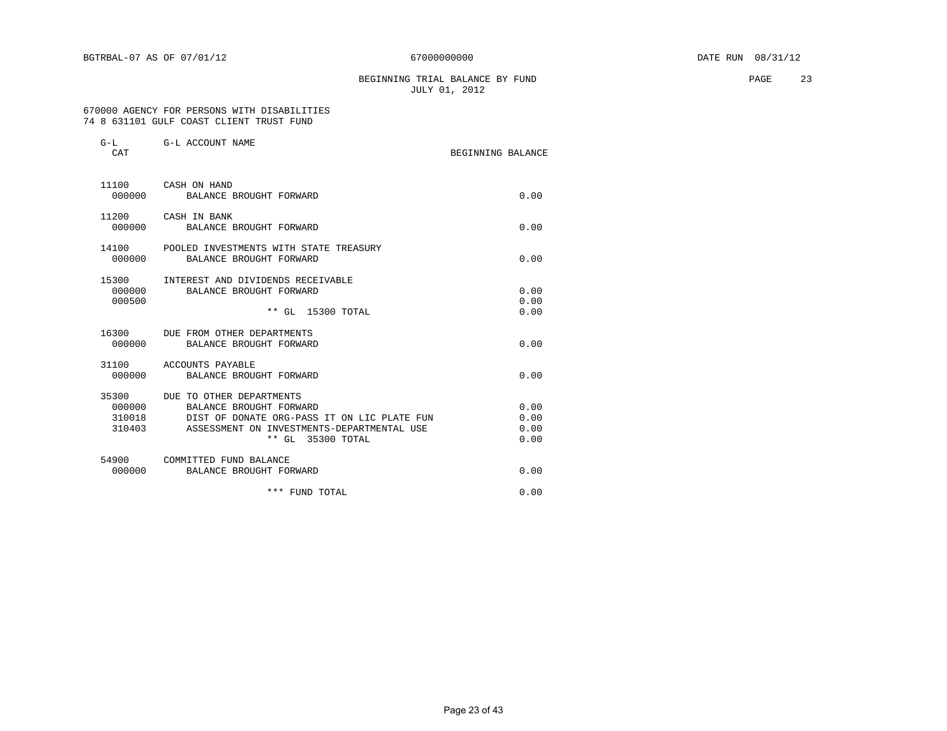#### BEGINNING TRIAL BALANCE BY FUND **PAGE** 23 JULY 01, 2012

#### 670000 AGENCY FOR PERSONS WITH DISABILITIES 74 8 631101 GULF COAST CLIENT TRUST FUND

| $G-L$<br>CAT                        | G-L ACCOUNT NAME                                                                                                                                                      | BEGINNING BALANCE            |  |
|-------------------------------------|-----------------------------------------------------------------------------------------------------------------------------------------------------------------------|------------------------------|--|
| 000000                              | 11100 CASH ON HAND<br>BALANCE BROUGHT FORWARD                                                                                                                         | 0.00                         |  |
| 11200<br>000000                     | CASH IN BANK<br>BALANCE BROUGHT FORWARD                                                                                                                               | 0.00                         |  |
| 14100<br>000000                     | POOLED INVESTMENTS WITH STATE TREASURY<br>BALANCE BROUGHT FORWARD                                                                                                     | 0.00                         |  |
| 15300<br>000000<br>000500           | INTEREST AND DIVIDENDS RECEIVABLE<br>BALANCE BROUGHT FORWARD<br>** GL 15300 TOTAL                                                                                     | 0.00<br>0.00<br>0.00         |  |
| 000000                              | 16300 DUE FROM OTHER DEPARTMENTS<br>BALANCE BROUGHT FORWARD                                                                                                           | 0.00                         |  |
| 31100<br>000000                     | ACCOUNTS PAYABLE<br>BALANCE BROUGHT FORWARD                                                                                                                           | 0.00                         |  |
| 35300<br>000000<br>310018<br>310403 | DUE TO OTHER DEPARTMENTS<br>BALANCE BROUGHT FORWARD<br>DIST OF DONATE ORG-PASS IT ON LIC PLATE FUN<br>ASSESSMENT ON INVESTMENTS-DEPARTMENTAL USE<br>** GL 35300 TOTAL | 0.00<br>0.00<br>0.00<br>0.00 |  |
| 54900<br>000000                     | COMMITTED FUND BALANCE<br>BALANCE BROUGHT FORWARD                                                                                                                     | 0.00                         |  |
|                                     | *** FUND TOTAL                                                                                                                                                        | 0.00                         |  |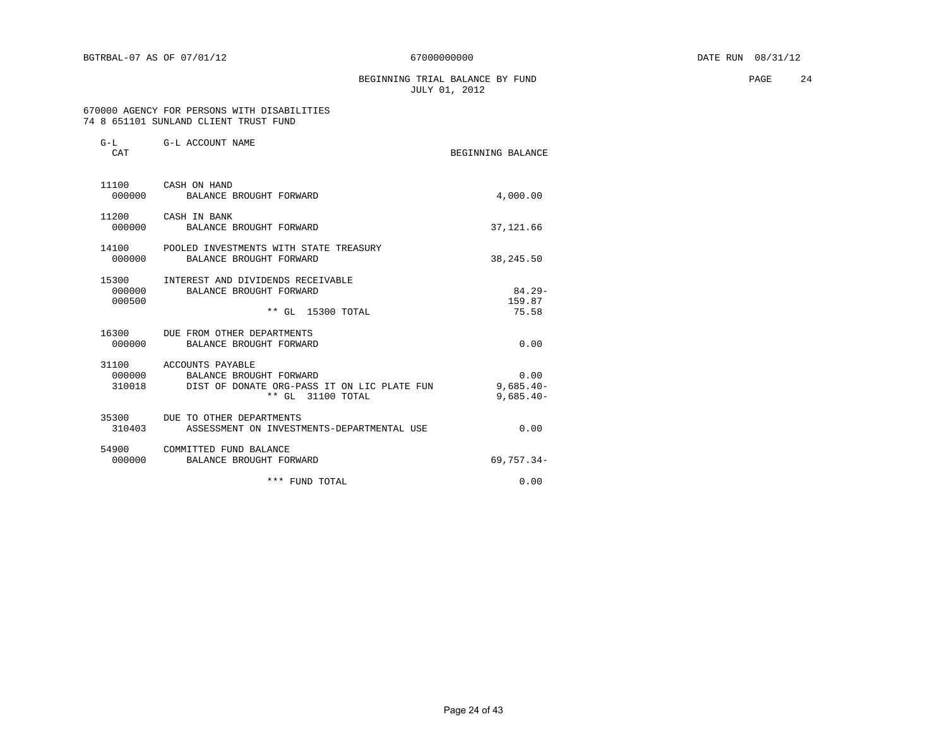BEGINNING TRIAL BALANCE BY FUND **PAGE** 24 JULY 01, 2012

#### 670000 AGENCY FOR PERSONS WITH DISABILITIES 74 8 651101 SUNLAND CLIENT TRUST FUND

| $G-L$<br>CAT    | G-L ACCOUNT NAME                                                                                                                    | BEGINNING BALANCE                    |
|-----------------|-------------------------------------------------------------------------------------------------------------------------------------|--------------------------------------|
| 000000          | 11100 CASH ON HAND<br>BALANCE BROUGHT FORWARD                                                                                       | 4,000.00                             |
| 000000          | 11200 CASH IN BANK<br>BALANCE BROUGHT FORWARD                                                                                       | 37, 121, 66                          |
| 14100<br>000000 | POOLED INVESTMENTS WITH STATE TREASURY<br>BALANCE BROUGHT FORWARD                                                                   | 38, 245.50                           |
| 000500          | 15300 INTEREST AND DIVIDENDS RECEIVABLE<br>000000 BALANCE BROUGHT FORWARD<br>** GL 15300 TOTAL                                      | $84.29 -$<br>159.87<br>75.58         |
|                 | 16300 DUE FROM OTHER DEPARTMENTS<br>000000 BALANCE BROUGHT FORWARD                                                                  | 0.00                                 |
|                 | 31100 ACCOUNTS PAYABLE<br>000000 BALANCE BROUGHT FORWARD<br>310018 DIST OF DONATE ORG-PASS IT ON LIC PLATE FUN<br>** GL 31100 TOTAL | 0.00<br>$9,685.40 -$<br>$9,685.40 -$ |
| 310403          | 35300 DUE TO OTHER DEPARTMENTS<br>ASSESSMENT ON INVESTMENTS-DEPARTMENTAL USE                                                        | 0.00                                 |
|                 | 54900 COMMITTED FUND BALANCE<br>000000 BALANCE BROUGHT FORWARD                                                                      | $69,757.34-$                         |
|                 | *** FUND TOTAL                                                                                                                      | 0.00                                 |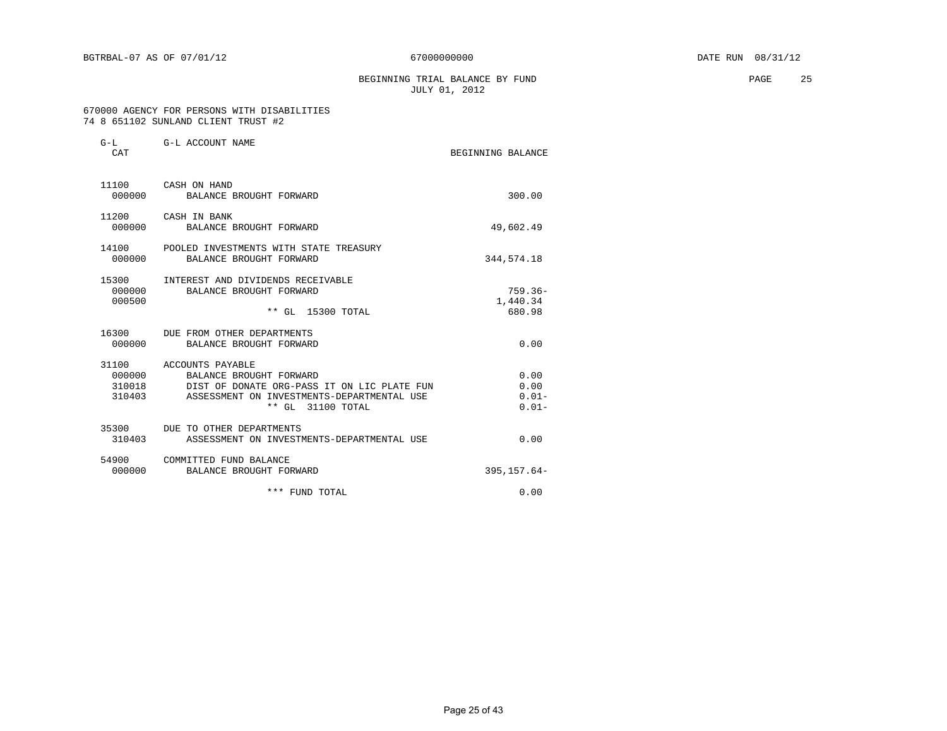BEGINNING TRIAL BALANCE BY FUND **PAGE** 25 JULY 01, 2012

#### 670000 AGENCY FOR PERSONS WITH DISABILITIES 74 8 651102 SUNLAND CLIENT TRUST #2

| CAT                       | G-L G-L ACCOUNT NAME                                                                                                                                                              | BEGINNING BALANCE                    |
|---------------------------|-----------------------------------------------------------------------------------------------------------------------------------------------------------------------------------|--------------------------------------|
| 000000                    | 11100 CASH ON HAND<br>BALANCE BROUGHT FORWARD                                                                                                                                     | 300.00                               |
|                           | 11200 CASH IN BANK<br>000000 BALANCE BROUGHT FORWARD                                                                                                                              | 49,602.49                            |
| 000000                    | 14100 POOLED INVESTMENTS WITH STATE TREASURY<br>BALANCE BROUGHT FORWARD                                                                                                           | 344,574.18                           |
| 15300<br>000000<br>000500 | INTEREST AND DIVIDENDS RECEIVABLE<br>BALANCE BROUGHT FORWARD<br>** GL 15300 TOTAL                                                                                                 | $759.36 -$<br>1,440.34<br>680.98     |
| 000000                    | 16300 DUE FROM OTHER DEPARTMENTS<br>BALANCE BROUGHT FORWARD                                                                                                                       | 0.00                                 |
| 310018                    | 31100 ACCOUNTS PAYABLE<br>000000 BALANCE BROUGHT FORWARD<br>DIST OF DONATE ORG-PASS IT ON LIC PLATE FUN<br>310403 ASSESSMENT ON INVESTMENTS-DEPARTMENTAL USE<br>** GL 31100 TOTAL | 0.00<br>0.00<br>$0.01 -$<br>$0.01 -$ |
| 310403                    | 35300 DUE TO OTHER DEPARTMENTS<br>ASSESSMENT ON INVESTMENTS-DEPARTMENTAL USE                                                                                                      | 0.00                                 |
|                           | 54900 COMMITTED FUND BALANCE<br>000000 BALANCE BROUGHT FORWARD                                                                                                                    | $395.157.64-$                        |
|                           | *** FUND TOTAL                                                                                                                                                                    | 0.00                                 |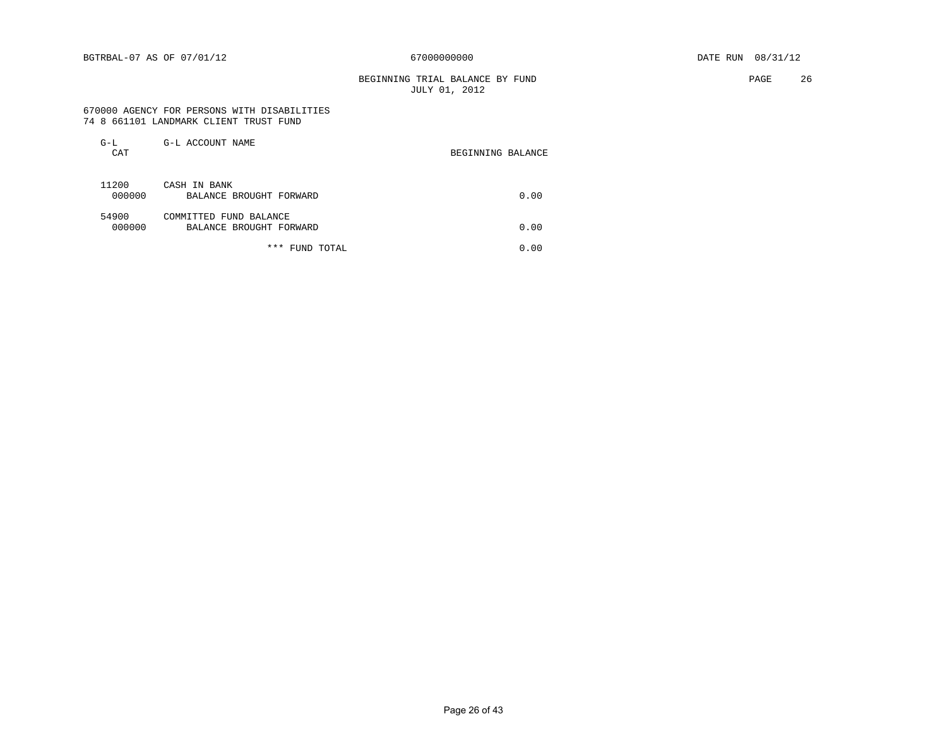#### BEGINNING TRIAL BALANCE BY FUND **PAGE** 26 JULY 01, 2012

 670000 AGENCY FOR PERSONS WITH DISABILITIES 74 8 661101 LANDMARK CLIENT TRUST FUND

| $G-L$<br>CAT    | G-L ACCOUNT NAME                                  | BEGINNING BALANCE |
|-----------------|---------------------------------------------------|-------------------|
| 11200<br>000000 | CASH IN BANK<br>BALANCE BROUGHT FORWARD           | 0.00              |
| 54900<br>000000 | COMMITTED FUND BALANCE<br>BALANCE BROUGHT FORWARD | 0.00              |
|                 | ***<br>FUND TOTAL                                 | 0.00              |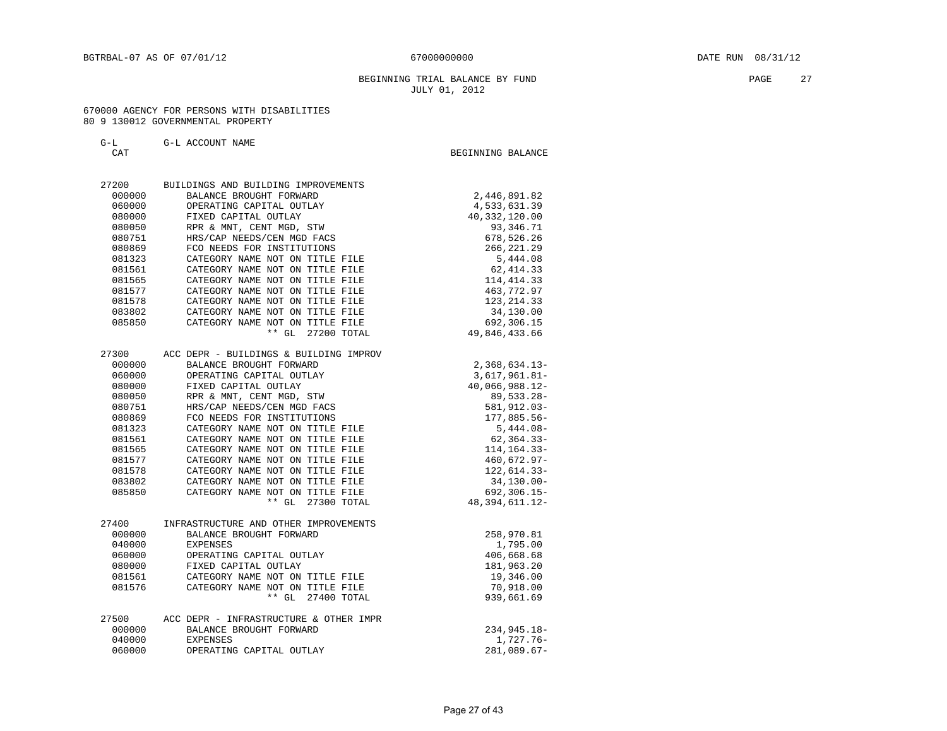#### BEGINNING TRIAL BALANCE BY FUND **PAGE** 27 JULY 01, 2012

#### 670000 AGENCY FOR PERSONS WITH DISABILITIES 80 9 130012 GOVERNMENTAL PROPERTY

| G-L ACCOUNT NAME |
|------------------|
|------------------|

| ப−ப<br>CAT | ALLOUNI NAME                           | BEGINNING BALANCE |
|------------|----------------------------------------|-------------------|
|            |                                        |                   |
| 27200      | BUILDINGS AND BUILDING IMPROVEMENTS    |                   |
| 000000     | BALANCE BROUGHT FORWARD                | 2,446,891.82      |
| 060000     | OPERATING CAPITAL OUTLAY               | 4,533,631.39      |
| 080000     | FIXED CAPITAL OUTLAY                   | 40, 332, 120.00   |
| 080050     | RPR & MNT, CENT MGD, STW               | 93, 346.71        |
| 080751     | HRS/CAP NEEDS/CEN MGD FACS             | 678,526.26        |
| 080869     | FCO NEEDS FOR INSTITUTIONS             | 266, 221.29       |
| 081323     | CATEGORY NAME NOT ON TITLE FILE        | 5,444.08          |
| 081561     | CATEGORY NAME NOT ON TITLE FILE        | 62, 414.33        |
| 081565     | CATEGORY NAME NOT ON TITLE FILE        | 114, 414.33       |
| 081577     | CATEGORY NAME NOT ON TITLE FILE        | 463,772.97        |
| 081578     | CATEGORY NAME NOT ON TITLE FILE        | 123, 214.33       |
| 083802     | CATEGORY NAME NOT ON TITLE FILE        | 34,130.00         |
| 085850     | CATEGORY NAME NOT ON TITLE FILE        | 692,306.15        |
|            | $**$ GL<br>27200 TOTAL                 | 49,846,433.66     |
| 27300      | ACC DEPR - BUILDINGS & BUILDING IMPROV |                   |
| 000000     | BALANCE BROUGHT FORWARD                | $2,368,634.13-$   |
| 060000     | OPERATING CAPITAL OUTLAY               | $3,617,961.81 -$  |
| 080000     | FIXED CAPITAL OUTLAY                   | 40,066,988.12-    |
| 080050     | RPR & MNT, CENT MGD, STW               | 89,533.28-        |
| 080751     | HRS/CAP NEEDS/CEN MGD FACS             | 581,912.03-       |
| 080869     | FCO NEEDS FOR INSTITUTIONS             | 177,885.56-       |
| 081323     | CATEGORY NAME NOT ON TITLE FILE        | $5,444.08-$       |
| 081561     | CATEGORY NAME NOT ON TITLE FILE        | $62, 364.33 -$    |
| 081565     | CATEGORY NAME NOT ON TITLE FILE        | 114, 164. 33-     |
| 081577     | CATEGORY NAME NOT ON TITLE FILE        | 460,672.97-       |
| 081578     | CATEGORY NAME NOT ON TITLE FILE        | 122,614.33-       |
| 083802     | CATEGORY NAME NOT ON TITLE FILE        | $34, 130.00 -$    |
| 085850     | CATEGORY NAME NOT ON TITLE FILE        | $692, 306.15 -$   |
|            | $**$ GL<br>27300 TOTAL                 | 48, 394, 611. 12- |
| 27400      | INFRASTRUCTURE AND OTHER IMPROVEMENTS  |                   |
| 000000     | BALANCE BROUGHT FORWARD                | 258,970.81        |
| 040000     | <b>EXPENSES</b>                        | 1,795.00          |
| 060000     | OPERATING CAPITAL OUTLAY               | 406,668.68        |
| 080000     | FIXED CAPITAL OUTLAY                   | 181,963.20        |
| 081561     | CATEGORY NAME NOT ON TITLE FILE        | 19,346.00         |

| 27500  | ACC DEPR - INFRASTRUCTURE & OTHER IMPR |             |
|--------|----------------------------------------|-------------|
| 000000 | BALANCE BROUGHT FORWARD                | 234,945.18- |
| 040000 | EXPENSES                               | 1,727.76-   |
| 060000 | OPERATING CAPITAL OUTLAY               | 281,089.67- |

081576 CATEGORY NAME NOT ON TITLE FILE 70,918.00 \*\* GL 27400 TOTAL 939,661.69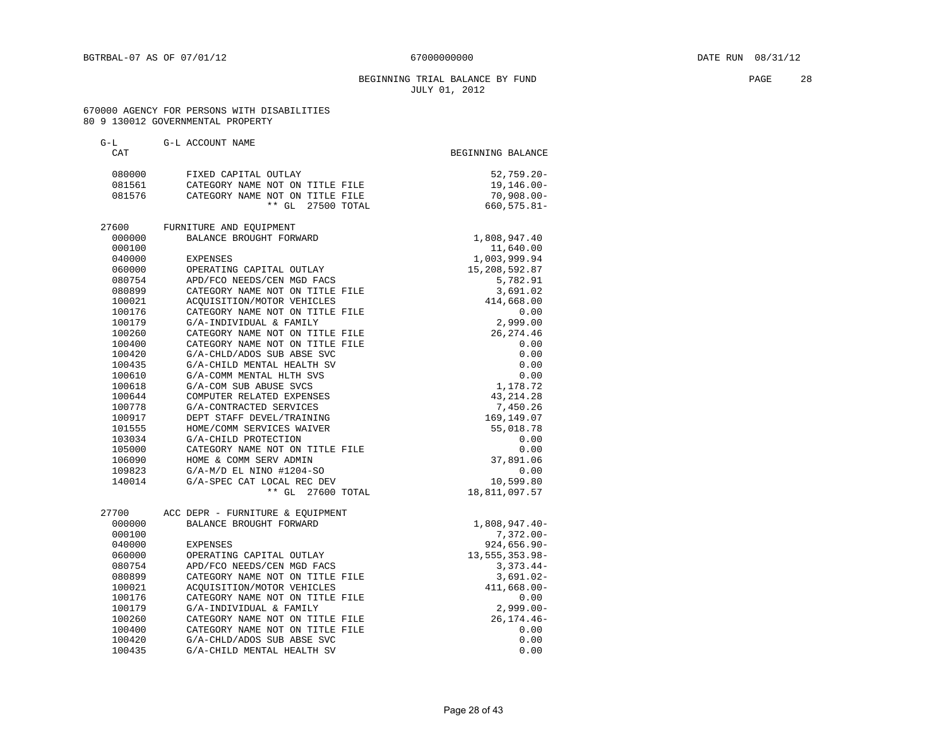#### BEGINNING TRIAL BALANCE BY FUND **PAGE** 28 JULY 01, 2012

#### 670000 AGENCY FOR PERSONS WITH DISABILITIES 80 9 130012 GOVERNMENTAL PROPERTY

| $G-L$<br>CAT     | G-L ACCOUNT NAME                                    | BEGINNING BALANCE      |
|------------------|-----------------------------------------------------|------------------------|
| 080000           | FIXED CAPITAL OUTLAY                                | $52,759.20 -$          |
| 081561           | CATEGORY NAME NOT ON TITLE FILE                     | $19, 146.00 -$         |
| 081576           | CATEGORY NAME NOT ON TITLE FILE                     | $70,908.00 -$          |
|                  | $***$ GL<br>27500 TOTAL                             | 660,575.81-            |
| 27600            | FURNITURE AND EOUIPMENT                             |                        |
| 000000           | BALANCE BROUGHT FORWARD                             | 1,808,947.40           |
| 000100           |                                                     | 11,640.00              |
| 040000           | <b>EXPENSES</b>                                     | 1,003,999.94           |
| 060000           | OPERATING CAPITAL OUTLAY                            | 15,208,592.87          |
| 080754           | APD/FCO NEEDS/CEN MGD FACS                          | 5,782.91               |
| 080899           | CATEGORY NAME NOT ON TITLE FILE                     | 3,691.02               |
| 100021           | ACQUISITION/MOTOR VEHICLES                          | 414,668.00             |
| 100176           | CATEGORY NAME NOT ON TITLE FILE                     | 0.00                   |
| 100179           | G/A-INDIVIDUAL & FAMILY                             | 2,999.00               |
| 100260           | CATEGORY NAME NOT ON TITLE FILE                     | 26, 274.46             |
| 100400           | CATEGORY NAME NOT ON TITLE FILE                     | 0.00                   |
| 100420           | G/A-CHLD/ADOS SUB ABSE SVC                          | 0.00                   |
| 100435           | G/A-CHILD MENTAL HEALTH SV                          | 0.00                   |
| 100610           | G/A-COMM MENTAL HLTH SVS                            | 0.00                   |
| 100618<br>100644 | G/A-COM SUB ABUSE SVCS<br>COMPUTER RELATED EXPENSES | 1,178.72<br>43, 214.28 |
| 100778           | G/A-CONTRACTED SERVICES                             | 7,450.26               |
| 100917           | DEPT STAFF DEVEL/TRAINING                           | 169,149.07             |
| 101555           | HOME/COMM SERVICES WAIVER                           | 55,018.78              |
| 103034           | G/A-CHILD PROTECTION                                | 0.00                   |
| 105000           | CATEGORY NAME NOT ON TITLE FILE                     | 0.00                   |
| 106090           | HOME & COMM SERV ADMIN                              | 37,891.06              |
| 109823           | $G/A-M/D$ EL NINO #1204-SO                          | 0.00                   |
| 140014           | G/A-SPEC CAT LOCAL REC DEV                          | 10,599.80              |
|                  | ** GL 27600 TOTAL                                   | 18,811,097.57          |
| 27700            | ACC DEPR - FURNITURE & EOUIPMENT                    |                        |
| 000000           | BALANCE BROUGHT FORWARD                             | 1,808,947.40-          |
| 000100           |                                                     | $7,372.00 -$           |
| 040000           | <b>EXPENSES</b>                                     | $924,656.90 -$         |
| 060000           | OPERATING CAPITAL OUTLAY                            | 13, 555, 353.98-       |
| 080754           | APD/FCO NEEDS/CEN MGD FACS                          | $3,373.44-$            |
| 080899           | CATEGORY NAME NOT ON TITLE FILE                     | $3,691.02 -$           |
| 100021           | ACQUISITION/MOTOR VEHICLES                          | $411,668.00 -$         |
| 100176           | CATEGORY NAME NOT ON TITLE FILE                     | 0.00                   |
| 100179           | G/A-INDIVIDUAL & FAMILY                             | $2,999.00 -$           |
| 100260           | CATEGORY NAME NOT ON TITLE FILE                     | $26, 174.46 -$         |
| 100400           | CATEGORY NAME NOT ON TITLE FILE                     | 0.00                   |
| 100420           | G/A-CHLD/ADOS SUB ABSE SVC                          | 0.00                   |
| 100435           | G/A-CHILD MENTAL HEALTH SV                          | 0.00                   |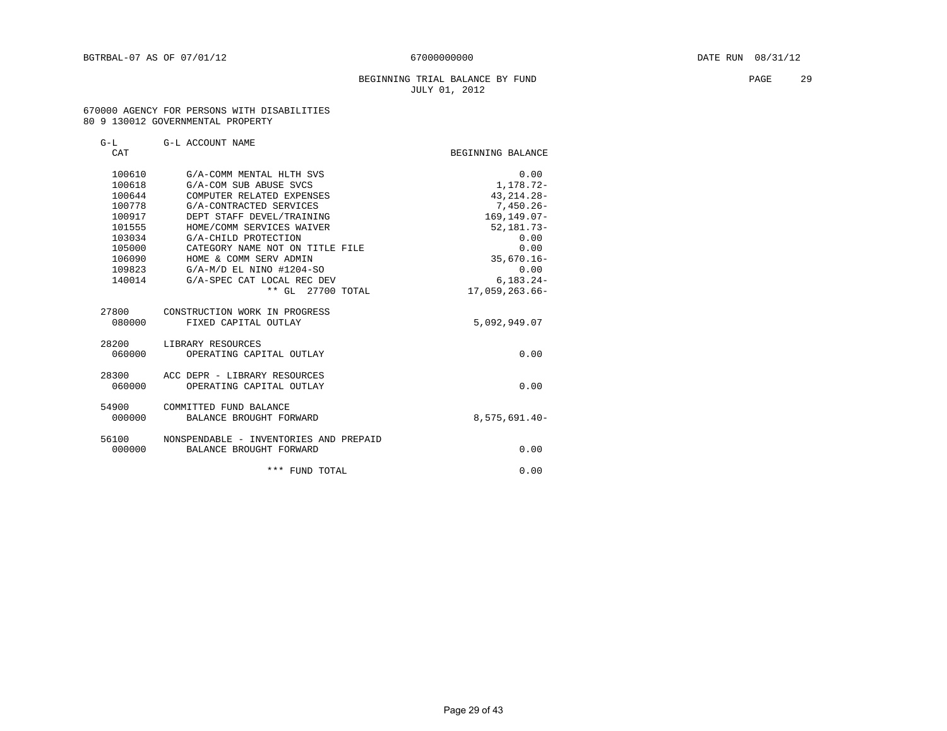#### BEGINNING TRIAL BALANCE BY FUND **EXAMPLE 29** PAGE 29 JULY 01, 2012

#### 670000 AGENCY FOR PERSONS WITH DISABILITIES 80 9 130012 GOVERNMENTAL PROPERTY

| CAT    | G-L G-L ACCOUNT NAME                   | BEGINNING BALANCE |
|--------|----------------------------------------|-------------------|
| 100610 | G/A-COMM MENTAL HLTH SVS               | 0.00              |
| 100618 | G/A-COM SUB ABUSE SVCS                 | 1,178.72-         |
| 100644 | COMPUTER RELATED EXPENSES              | 43, 214. 28-      |
| 100778 | G/A-CONTRACTED SERVICES                | $7,450.26 -$      |
| 100917 | DEPT STAFF DEVEL/TRAINING              | $169.149.07 -$    |
| 101555 | HOME/COMM SERVICES WAIVER              | $52, 181.73 -$    |
| 103034 | G/A-CHILD PROTECTION                   | 0.00              |
| 105000 | CATEGORY NAME NOT ON TITLE FILE        | 0.00              |
| 106090 | HOME & COMM SERV ADMIN                 | $35,670.16 -$     |
| 109823 | $G/A-M/D$ EL NINO #1204-SO             | 0.00              |
| 140014 | G/A-SPEC CAT LOCAL REC DEV             | $6.183.24 -$      |
|        | ** GL 27700 TOTAL                      | 17,059,263.66-    |
| 27800  | CONSTRUCTION WORK IN PROGRESS          |                   |
| 080000 | FIXED CAPITAL OUTLAY                   | 5,092,949.07      |
| 28200  | LIBRARY RESOURCES                      |                   |
| 060000 | OPERATING CAPITAL OUTLAY               | 0.00              |
| 28300  | ACC DEPR - LIBRARY RESOURCES           |                   |
| 060000 | OPERATING CAPITAL OUTLAY               | 0.00              |
| 54900  | COMMITTED FUND BALANCE                 |                   |
| 000000 | BALANCE BROUGHT FORWARD                | 8,575,691.40-     |
| 56100  | NONSPENDABLE - INVENTORIES AND PREPAID |                   |
| 000000 | BALANCE BROUGHT FORWARD                | 0.00              |
|        | *** FUND TOTAL                         | 0.00              |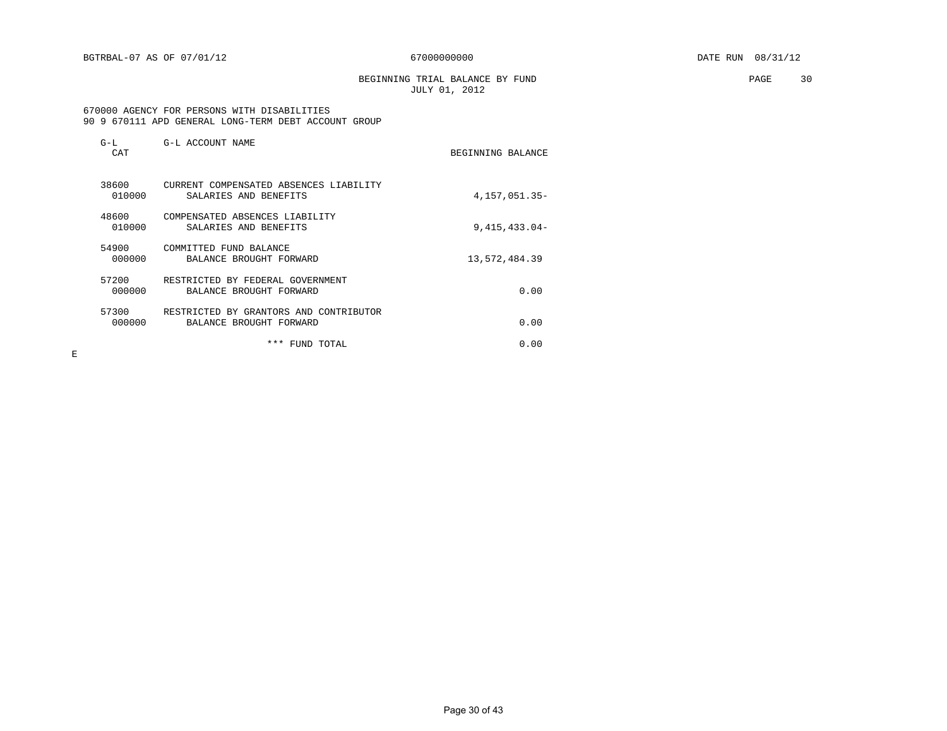BEGINNING TRIAL BALANCE BY FUND **PAGE** 30 JULY 01, 2012

#### 670000 AGENCY FOR PERSONS WITH DISABILITIES 90 9 670111 APD GENERAL LONG-TERM DEBT ACCOUNT GROUP

| $G-L$<br>CAT    | G-L ACCOUNT NAME                                                  | BEGINNING BALANCE |
|-----------------|-------------------------------------------------------------------|-------------------|
| 38600<br>010000 | CURRENT COMPENSATED ABSENCES LIABILITY<br>SALARIES AND BENEFITS   | 4, 157, 051. 35-  |
| 48600<br>010000 | COMPENSATED ABSENCES LIABILITY<br>SALARIES AND BENEFITS           | $9,415,433.04-$   |
| 54900<br>000000 | COMMITTED FUND BALANCE<br>BALANCE BROUGHT FORWARD                 | 13,572,484.39     |
| 57200<br>000000 | RESTRICTED BY FEDERAL GOVERNMENT<br>BALANCE BROUGHT FORWARD       | 0.00              |
| 57300<br>000000 | RESTRICTED BY GRANTORS AND CONTRIBUTOR<br>BALANCE BROUGHT FORWARD | 0.00              |
|                 | ***<br>FUND TOTAL                                                 | 0.00              |

 $\mathbf E$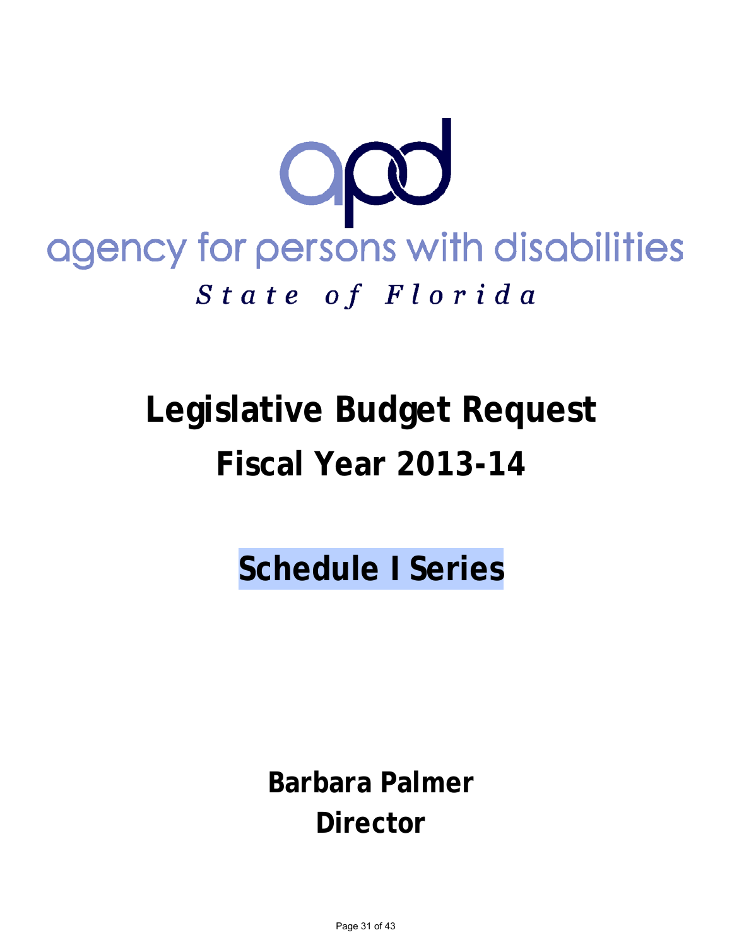

# **Legislative Budget Request Fiscal Year 2013-14**

**Schedule I Series**

**Barbara Palmer Director**

Page 31 of 43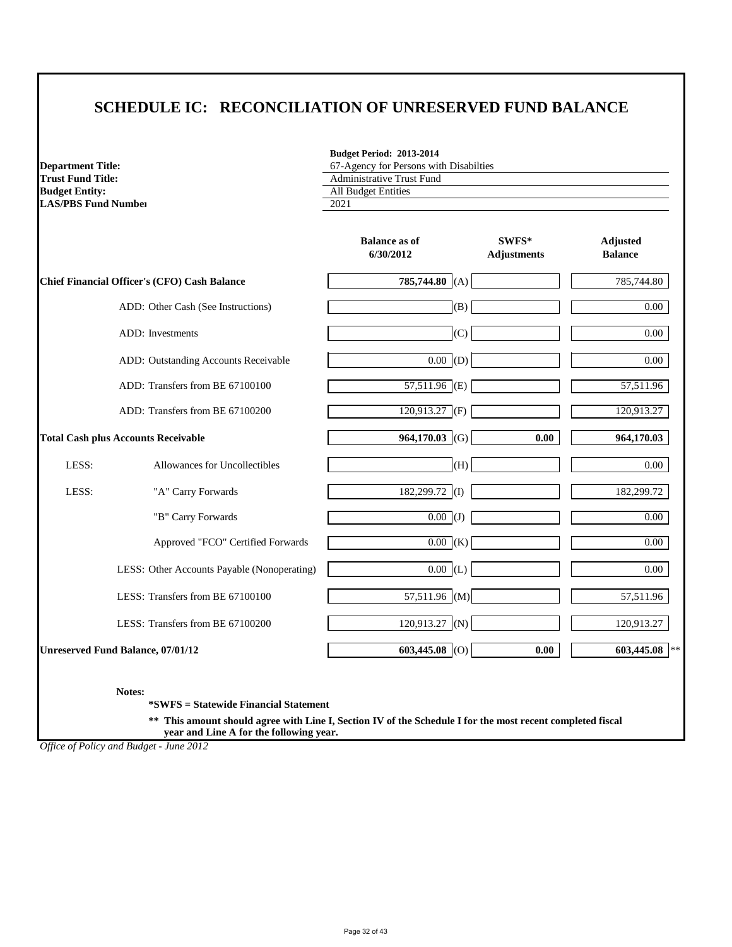### **SCHEDULE IC: RECONCILIATION OF UNRESERVED FUND BALANCE**

**Budget Period: 2013-2014**

67-Agency for Persons with Disabilties

| <b>Budget Entity:</b><br><b>LAS/PBS Fund Number</b> |                                                     | <b>All Budget Entities</b><br>2021 |                             |                                   |
|-----------------------------------------------------|-----------------------------------------------------|------------------------------------|-----------------------------|-----------------------------------|
|                                                     |                                                     | <b>Balance as of</b><br>6/30/2012  | SWFS*<br><b>Adjustments</b> | <b>Adjusted</b><br><b>Balance</b> |
|                                                     | <b>Chief Financial Officer's (CFO) Cash Balance</b> | 785,744.80 (A)                     |                             | 785,744.80                        |
|                                                     | ADD: Other Cash (See Instructions)                  | (B)                                |                             | $0.00\,$                          |
|                                                     | <b>ADD:</b> Investments                             | (C)                                |                             | $0.00\,$                          |
|                                                     | ADD: Outstanding Accounts Receivable                | 0.00  (D)                          |                             | $0.00\,$                          |
|                                                     | ADD: Transfers from BE 67100100                     | $57,511.96$ (E)                    |                             | 57,511.96                         |
|                                                     | ADD: Transfers from BE 67100200                     | $120,913.27$ (F)                   |                             | 120,913.27                        |
|                                                     | <b>Total Cash plus Accounts Receivable</b>          | 964,170.03 (G)                     | 0.00                        | 964,170.03                        |
| LESS:                                               | Allowances for Uncollectibles                       | (H)                                |                             | $0.00\,$                          |
| LESS:                                               | "A" Carry Forwards                                  | 182,299.72 (I)                     |                             | 182,299.72                        |
|                                                     | "B" Carry Forwards                                  | $\overline{0.00}$ (J)              |                             | $0.00\,$                          |
|                                                     | Approved "FCO" Certified Forwards                   | $\overline{0.00}$ (K)              |                             | $0.00\,$                          |
|                                                     | LESS: Other Accounts Payable (Nonoperating)         | 0.00  (L)                          |                             | $0.00\,$                          |
|                                                     | LESS: Transfers from BE 67100100                    | 57,511.96 (M)                      |                             | 57,511.96                         |
|                                                     | LESS: Transfers from BE 67100200                    | $120,913.27$ (N)                   |                             | 120,913.27                        |
|                                                     | <b>Unreserved Fund Balance, 07/01/12</b>            | 603,445.08 (O)                     | 0.00                        | 603,445.08                        |

**Notes:**

**Department Title:**

**\*SWFS = Statewide Financial Statement** 

**Trust Fund Title:** Administrative Trust Fund

**\*\* This amount should agree with Line I, Section IV of the Schedule I for the most recent completed fiscal year and Line A for the following year.**

*Office of Policy and Budget - June 2012*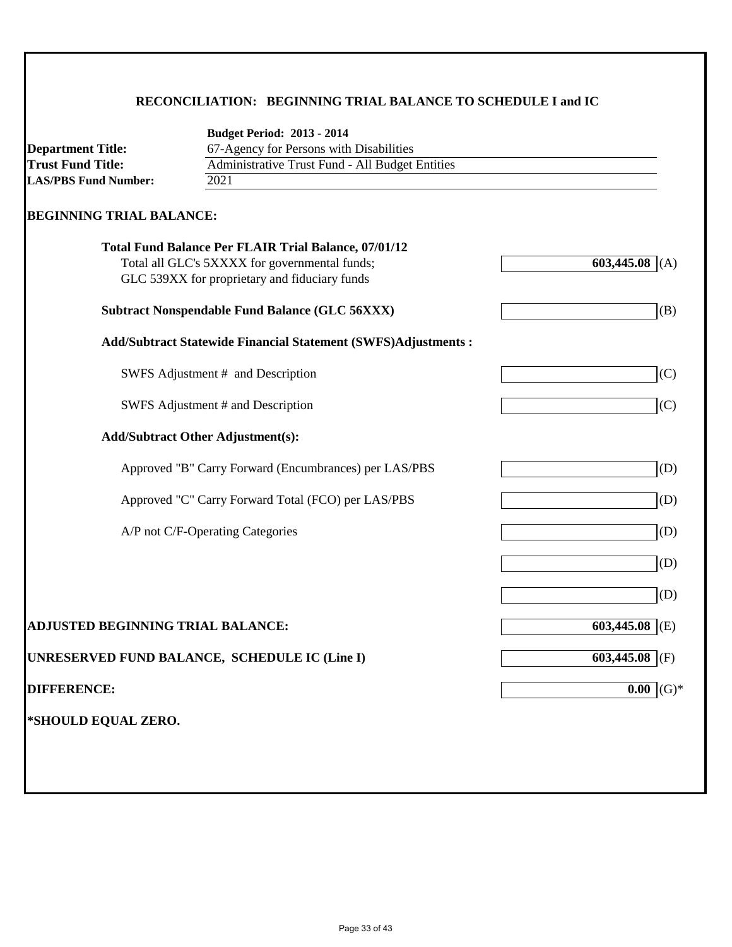### **RECONCILIATION: BEGINNING TRIAL BALANCE TO SCHEDULE I and IC**

|                                                      | <b>Budget Period: 2013 - 2014</b>                                                              |                   |  |
|------------------------------------------------------|------------------------------------------------------------------------------------------------|-------------------|--|
| <b>Department Title:</b><br><b>Trust Fund Title:</b> | 67-Agency for Persons with Disabilities                                                        |                   |  |
| <b>LAS/PBS Fund Number:</b>                          | Administrative Trust Fund - All Budget Entities<br>2021                                        |                   |  |
|                                                      |                                                                                                |                   |  |
| <b>BEGINNING TRIAL BALANCE:</b>                      |                                                                                                |                   |  |
|                                                      | <b>Total Fund Balance Per FLAIR Trial Balance, 07/01/12</b>                                    |                   |  |
|                                                      | Total all GLC's 5XXXX for governmental funds;<br>GLC 539XX for proprietary and fiduciary funds | 603,445.08<br>(A) |  |
|                                                      |                                                                                                |                   |  |
|                                                      | <b>Subtract Nonspendable Fund Balance (GLC 56XXX)</b>                                          | (B)               |  |
|                                                      | Add/Subtract Statewide Financial Statement (SWFS)Adjustments :                                 |                   |  |
|                                                      | SWFS Adjustment # and Description                                                              | (C)               |  |
|                                                      | SWFS Adjustment # and Description                                                              | (C)               |  |
|                                                      | <b>Add/Subtract Other Adjustment(s):</b>                                                       |                   |  |
|                                                      | Approved "B" Carry Forward (Encumbrances) per LAS/PBS                                          | (D)               |  |
|                                                      | Approved "C" Carry Forward Total (FCO) per LAS/PBS                                             | (D)               |  |
|                                                      | A/P not C/F-Operating Categories                                                               | (D)               |  |
|                                                      |                                                                                                | (D)               |  |
|                                                      |                                                                                                | (D)               |  |
| <b>ADJUSTED BEGINNING TRIAL BALANCE:</b>             |                                                                                                | 603,445.08<br>(E) |  |
|                                                      | UNRESERVED FUND BALANCE, SCHEDULE IC (Line I)                                                  | 603,445.08<br>(F) |  |
| <b>DIFFERENCE:</b>                                   |                                                                                                | $0.00$ (G)*       |  |
| *SHOULD EQUAL ZERO.                                  |                                                                                                |                   |  |
|                                                      |                                                                                                |                   |  |
|                                                      |                                                                                                |                   |  |
|                                                      |                                                                                                |                   |  |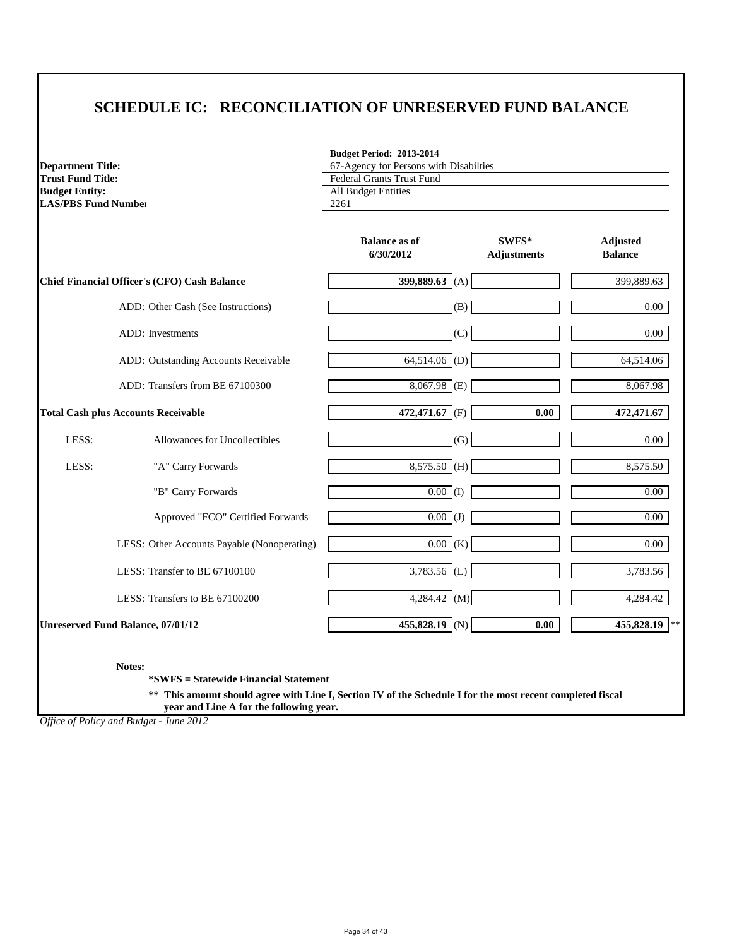# **SCHEDULE IC: RECONCILIATION OF UNRESERVED FUND BALANCE**

**Budget Period: 2013-2014**

| <b>Department Title:</b><br><b>Trust Fund Title:</b><br><b>Budget Entity:</b><br><b>LAS/PBS Fund Number</b> |                                                     | 67-Agency for Persons with Disabilties<br><b>Federal Grants Trust Fund</b><br>All Budget Entities<br>2261 |                             |                                   |
|-------------------------------------------------------------------------------------------------------------|-----------------------------------------------------|-----------------------------------------------------------------------------------------------------------|-----------------------------|-----------------------------------|
|                                                                                                             |                                                     | <b>Balance as of</b><br>6/30/2012                                                                         | SWFS*<br><b>Adjustments</b> | <b>Adjusted</b><br><b>Balance</b> |
|                                                                                                             | <b>Chief Financial Officer's (CFO) Cash Balance</b> | 399,889.63 (A)                                                                                            |                             | 399,889.63                        |
|                                                                                                             | ADD: Other Cash (See Instructions)                  | (B)                                                                                                       |                             | $0.00\,$                          |
|                                                                                                             | ADD: Investments                                    | (C)                                                                                                       |                             | $0.00\,$                          |
|                                                                                                             | ADD: Outstanding Accounts Receivable                | 64,514.06 (D)                                                                                             |                             | 64,514.06                         |
|                                                                                                             | ADD: Transfers from BE 67100300                     | $8,067.98$ (E)                                                                                            |                             | 8,067.98                          |
|                                                                                                             | <b>Total Cash plus Accounts Receivable</b>          | 472,471.67 (F)                                                                                            | 0.00                        | 472,471.67                        |
| LESS:                                                                                                       | Allowances for Uncollectibles                       | (G)                                                                                                       |                             | $0.00\,$                          |
| LESS:                                                                                                       | "A" Carry Forwards                                  | $8,575.50$ (H)                                                                                            |                             | 8,575.50                          |
|                                                                                                             | "B" Carry Forwards                                  | $\boxed{0.00}$ (I)                                                                                        |                             | $0.00\,$                          |
|                                                                                                             | Approved "FCO" Certified Forwards                   | $\overline{0.00}$ (J)                                                                                     |                             | $0.00\,$                          |
|                                                                                                             | LESS: Other Accounts Payable (Nonoperating)         | 0.00  (K)                                                                                                 |                             | $0.00\,$                          |
|                                                                                                             | LESS: Transfer to BE 67100100                       | 3,783.56 (L)                                                                                              |                             | 3,783.56                          |
|                                                                                                             | LESS: Transfers to BE 67100200                      | 4,284.42 $(M)$                                                                                            |                             | 4,284.42                          |
|                                                                                                             | <b>Unreserved Fund Balance, 07/01/12</b>            | 455,828.19 (N)                                                                                            | 0.00                        | 455,828.19<br>$**$                |

**Notes:**

**\*SWFS = Statewide Financial Statement** 

**\*\* This amount should agree with Line I, Section IV of the Schedule I for the most recent completed fiscal year and Line A for the following year.**

*Office of Policy and Budget - June 2012*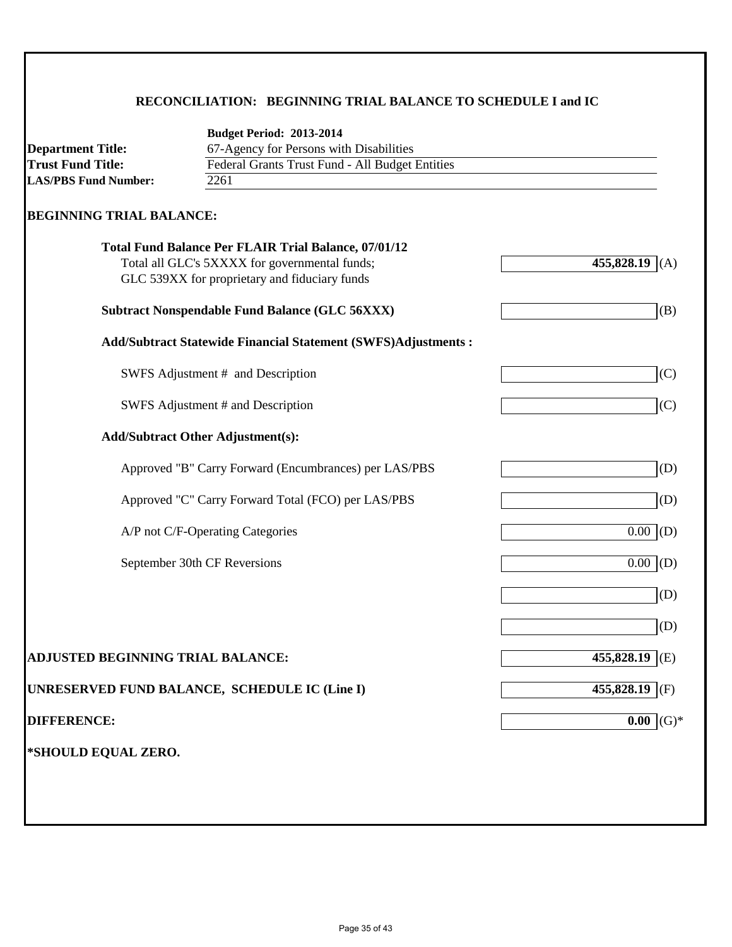### **RECONCILIATION: BEGINNING TRIAL BALANCE TO SCHEDULE I and IC**

| <b>Department Title:</b>                 | <b>Budget Period: 2013-2014</b><br>67-Agency for Persons with Disabilities                                                                                    |                   |  |
|------------------------------------------|---------------------------------------------------------------------------------------------------------------------------------------------------------------|-------------------|--|
| <b>Trust Fund Title:</b>                 | Federal Grants Trust Fund - All Budget Entities                                                                                                               |                   |  |
| <b>LAS/PBS Fund Number:</b>              | 2261                                                                                                                                                          |                   |  |
| <b>BEGINNING TRIAL BALANCE:</b>          |                                                                                                                                                               |                   |  |
|                                          | <b>Total Fund Balance Per FLAIR Trial Balance, 07/01/12</b><br>Total all GLC's 5XXXX for governmental funds;<br>GLC 539XX for proprietary and fiduciary funds | 455,828.19<br>(A) |  |
|                                          | <b>Subtract Nonspendable Fund Balance (GLC 56XXX)</b>                                                                                                         | (B)               |  |
|                                          | <b>Add/Subtract Statewide Financial Statement (SWFS)Adjustments:</b>                                                                                          |                   |  |
|                                          | SWFS Adjustment # and Description                                                                                                                             | (C)               |  |
|                                          | SWFS Adjustment # and Description                                                                                                                             | (C)               |  |
|                                          | <b>Add/Subtract Other Adjustment(s):</b>                                                                                                                      |                   |  |
|                                          | Approved "B" Carry Forward (Encumbrances) per LAS/PBS                                                                                                         | (D)               |  |
|                                          | Approved "C" Carry Forward Total (FCO) per LAS/PBS                                                                                                            | (D)               |  |
|                                          | A/P not C/F-Operating Categories                                                                                                                              | 0.00<br>(D)       |  |
|                                          | September 30th CF Reversions                                                                                                                                  | 0.00<br>(D)       |  |
|                                          |                                                                                                                                                               | (D)               |  |
|                                          |                                                                                                                                                               | (D)               |  |
| <b>ADJUSTED BEGINNING TRIAL BALANCE:</b> |                                                                                                                                                               | 455,828.19<br>(E) |  |
|                                          | UNRESERVED FUND BALANCE, SCHEDULE IC (Line I)                                                                                                                 | 455,828.19<br>(F) |  |
| <b>DIFFERENCE:</b>                       |                                                                                                                                                               | $(G)*$<br>0.00    |  |
| *SHOULD EQUAL ZERO.                      |                                                                                                                                                               |                   |  |
|                                          |                                                                                                                                                               |                   |  |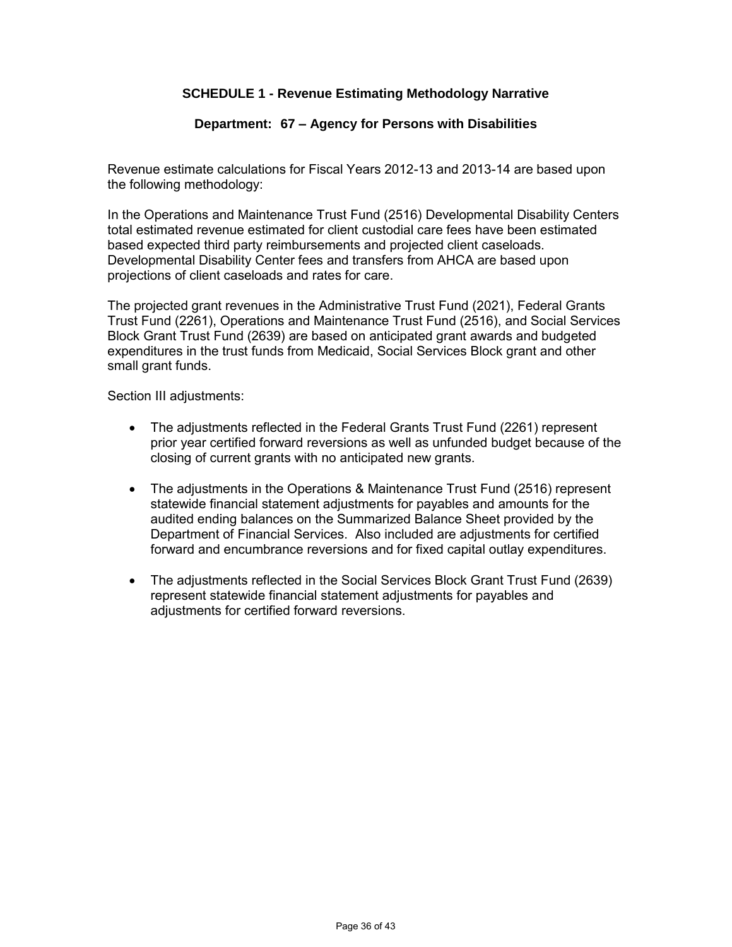### **SCHEDULE 1 - Revenue Estimating Methodology Narrative**

#### **Department: 67 – Agency for Persons with Disabilities**

Revenue estimate calculations for Fiscal Years 2012-13 and 2013-14 are based upon the following methodology:

In the Operations and Maintenance Trust Fund (2516) Developmental Disability Centers total estimated revenue estimated for client custodial care fees have been estimated based expected third party reimbursements and projected client caseloads. Developmental Disability Center fees and transfers from AHCA are based upon projections of client caseloads and rates for care.

The projected grant revenues in the Administrative Trust Fund (2021), Federal Grants Trust Fund (2261), Operations and Maintenance Trust Fund (2516), and Social Services Block Grant Trust Fund (2639) are based on anticipated grant awards and budgeted expenditures in the trust funds from Medicaid, Social Services Block grant and other small grant funds.

Section III adjustments:

- The adjustments reflected in the Federal Grants Trust Fund (2261) represent prior year certified forward reversions as well as unfunded budget because of the closing of current grants with no anticipated new grants.
- The adjustments in the Operations & Maintenance Trust Fund (2516) represent statewide financial statement adjustments for payables and amounts for the audited ending balances on the Summarized Balance Sheet provided by the Department of Financial Services. Also included are adjustments for certified forward and encumbrance reversions and for fixed capital outlay expenditures.
- The adjustments reflected in the Social Services Block Grant Trust Fund (2639) represent statewide financial statement adjustments for payables and adjustments for certified forward reversions.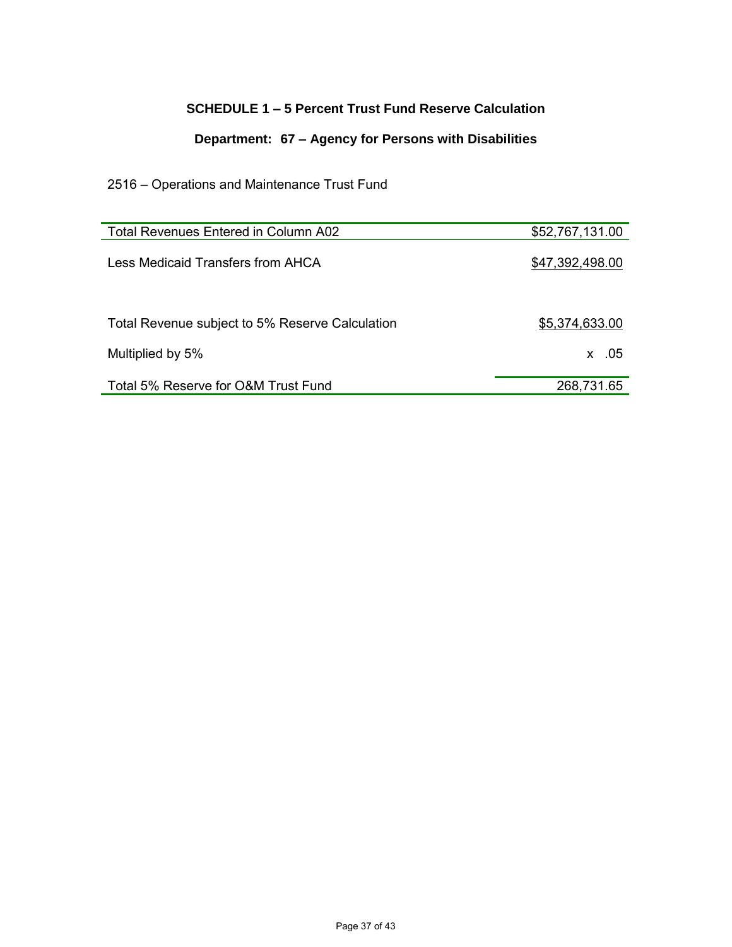### **SCHEDULE 1 – 5 Percent Trust Fund Reserve Calculation**

### **Department: 67 – Agency for Persons with Disabilities**

### 2516 – Operations and Maintenance Trust Fund

| Total Revenues Entered in Column A02            | \$52,767,131.00 |
|-------------------------------------------------|-----------------|
| Less Medicaid Transfers from AHCA               | \$47,392,498.00 |
| Total Revenue subject to 5% Reserve Calculation | \$5,374,633.00  |
| Multiplied by 5%                                | $x = 0.05$      |
| Total 5% Reserve for O&M Trust Fund             | 268,731.65      |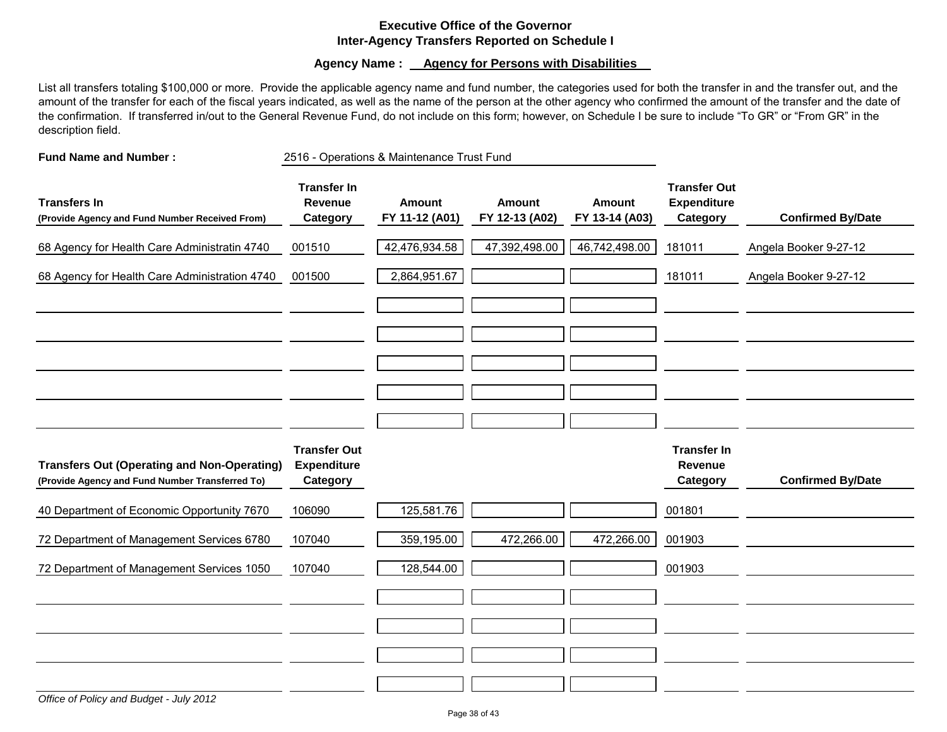### **Executive Office of the Governor Inter-Agency Transfers Reported on Schedule I**

**Agency Name : Agency for Persons with Disabilities** 

List all transfers totaling \$100,000 or more. Provide the applicable agency name and fund number, the categories used for both the transfer in and the transfer out, and the amount of the transfer for each of the fiscal years indicated, as well as the name of the person at the other agency who confirmed the amount of the transfer and the date of the confirmation. If transferred in/out to the General Revenue Fund, do not include on this form; however, on Schedule I be sure to include "To GR" or "From GR" in the description field.

**Fund Name and Number : Transfer In Transfer Out Transfers In Revenue Amount Amount Amount Expenditure (Provide Agency and Fund Number Received From) Category FY 11-12 (A01) FY 12-13 (A02) FY 13-14 (A03) Category Confirmed By/Date** 68 Agency for Health Care Administratin 4740 001510 42,476,934.58 47,392,498.00 46,742,498.00 181011 Angela Booker 9-27-12 68 Agency for Health Care Administration 4740 001500 2,864,951.67 181011 Angela Booker 9-27-12 **Transfer Out Transfer In Transfers Out (Operating and Non-Operating) Expenditure Revenue (Provide Agency and Fund Number Transferred To) Category Category Confirmed By/Date** 40 Department of Economic Opportunity 7670 106090 125,581.76 001801 72 Department of Management Services 6780 107040 359,195.00 472,266.00 472,266.00 001903 72 Department of Management Services 1050 107040 | 128,544.00 | | | | | | | | | | | | | | 001903 2516 - Operations & Maintenance Trust Fund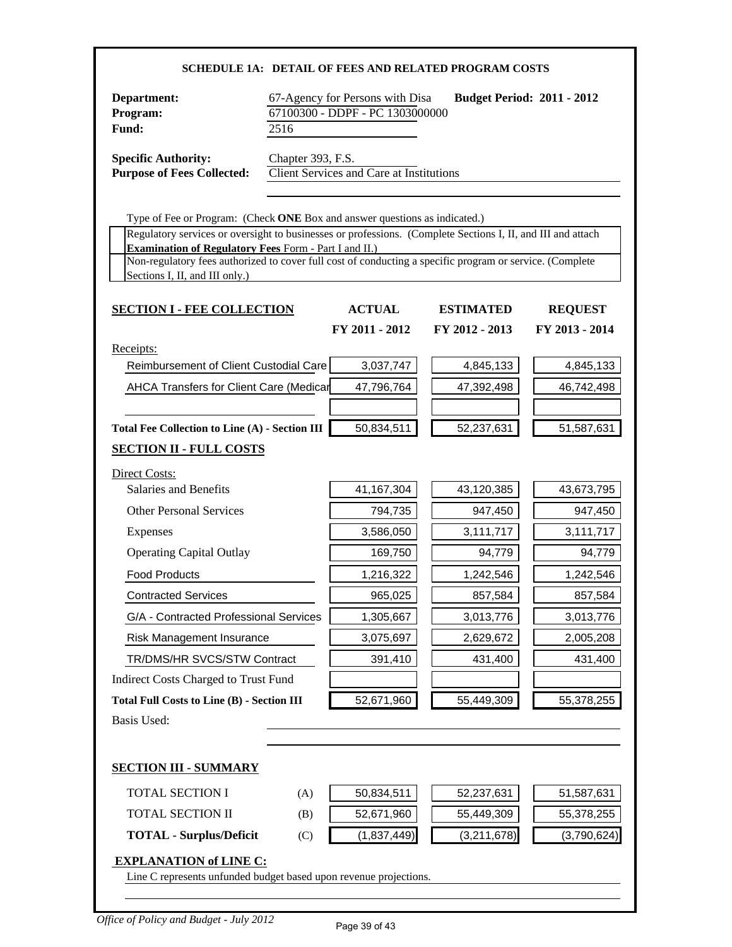| SCHEDULE 1A: DETAIL OF FEES AND RELATED PROGRAM COSTS                                                                                                                                                      |                                                                                                                 |                                                 |                  |                |
|------------------------------------------------------------------------------------------------------------------------------------------------------------------------------------------------------------|-----------------------------------------------------------------------------------------------------------------|-------------------------------------------------|------------------|----------------|
| Department:<br>Program:<br>Fund:                                                                                                                                                                           | 67-Agency for Persons with Disa<br><b>Budget Period: 2011 - 2012</b><br>67100300 - DDPF - PC 1303000000<br>2516 |                                                 |                  |                |
| <b>Specific Authority:</b><br><b>Purpose of Fees Collected:</b>                                                                                                                                            | Chapter 393, F.S.                                                                                               | <b>Client Services and Care at Institutions</b> |                  |                |
| Type of Fee or Program: (Check ONE Box and answer questions as indicated.)                                                                                                                                 |                                                                                                                 |                                                 |                  |                |
| Regulatory services or oversight to businesses or professions. (Complete Sections I, II, and III and attach                                                                                                |                                                                                                                 |                                                 |                  |                |
| <b>Examination of Regulatory Fees Form - Part I and II.)</b><br>Non-regulatory fees authorized to cover full cost of conducting a specific program or service. (Complete<br>Sections I, II, and III only.) |                                                                                                                 |                                                 |                  |                |
| <b>SECTION I - FEE COLLECTION</b>                                                                                                                                                                          |                                                                                                                 | <b>ACTUAL</b>                                   | <b>ESTIMATED</b> | <b>REQUEST</b> |
|                                                                                                                                                                                                            |                                                                                                                 | FY 2011 - 2012                                  | FY 2012 - 2013   | FY 2013 - 2014 |
| Receipts:<br>Reimbursement of Client Custodial Care                                                                                                                                                        |                                                                                                                 | 3,037,747                                       | 4,845,133        | 4,845,133      |
| AHCA Transfers for Client Care (Medicar                                                                                                                                                                    |                                                                                                                 | 47,796,764                                      | 47,392,498       | 46,742,498     |
|                                                                                                                                                                                                            |                                                                                                                 |                                                 |                  |                |
| <b>Total Fee Collection to Line (A) - Section III</b>                                                                                                                                                      |                                                                                                                 | 50,834,511                                      | 52,237,631       | 51,587,631     |
| <b>SECTION II - FULL COSTS</b>                                                                                                                                                                             |                                                                                                                 |                                                 |                  |                |
| Direct Costs:                                                                                                                                                                                              |                                                                                                                 |                                                 |                  |                |
| Salaries and Benefits                                                                                                                                                                                      |                                                                                                                 | 41, 167, 304                                    | 43,120,385       | 43,673,795     |
| <b>Other Personal Services</b>                                                                                                                                                                             |                                                                                                                 | 794,735                                         | 947,450          | 947,450        |
| Expenses                                                                                                                                                                                                   |                                                                                                                 | 3,586,050                                       | 3,111,717        | 3,111,717      |
| <b>Operating Capital Outlay</b>                                                                                                                                                                            |                                                                                                                 | 169,750                                         | 94,779           | 94,779         |
| <b>Food Products</b>                                                                                                                                                                                       |                                                                                                                 | 1,216,322                                       | 1,242,546        | 1,242,546      |
| <b>Contracted Services</b>                                                                                                                                                                                 |                                                                                                                 | 965,025                                         | 857,584          | 857,584        |
| G/A - Contracted Professional Services                                                                                                                                                                     |                                                                                                                 | 1,305,667                                       | 3,013,776        | 3,013,776      |
| Risk Management Insurance                                                                                                                                                                                  |                                                                                                                 | 3,075,697                                       | 2,629,672        | 2,005,208      |
| TR/DMS/HR SVCS/STW Contract                                                                                                                                                                                |                                                                                                                 | 391,410                                         | 431,400          | 431,400        |
| Indirect Costs Charged to Trust Fund                                                                                                                                                                       |                                                                                                                 |                                                 |                  |                |
| <b>Total Full Costs to Line (B) - Section III</b><br><b>Basis Used:</b>                                                                                                                                    |                                                                                                                 | 52,671,960                                      | 55,449,309       | 55,378,255     |
|                                                                                                                                                                                                            |                                                                                                                 |                                                 |                  |                |
| <b>SECTION III - SUMMARY</b>                                                                                                                                                                               |                                                                                                                 |                                                 |                  |                |
| <b>TOTAL SECTION I</b>                                                                                                                                                                                     | (A)                                                                                                             | 50,834,511                                      | 52,237,631       | 51,587,631     |
| TOTAL SECTION II                                                                                                                                                                                           | (B)                                                                                                             | 52,671,960                                      | 55,449,309       | 55,378,255     |
| <b>TOTAL - Surplus/Deficit</b>                                                                                                                                                                             | (C)                                                                                                             | (1,837,449)                                     | (3,211,678)      | (3,790,624)    |
| <b>EXPLANATION of LINE C:</b><br>Line C represents unfunded budget based upon revenue projections.                                                                                                         |                                                                                                                 |                                                 |                  |                |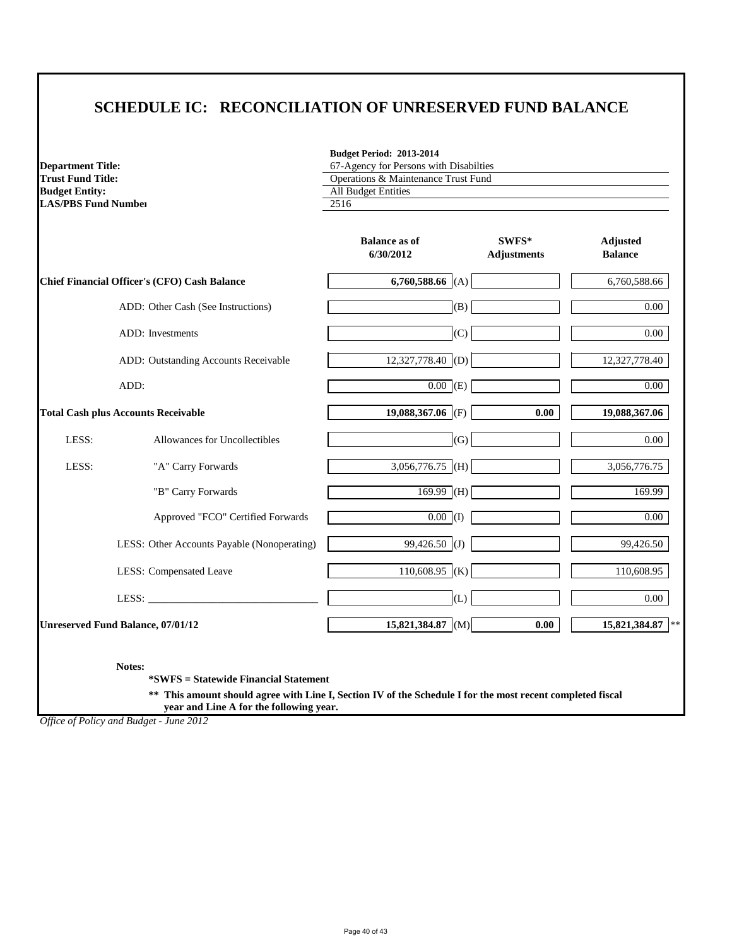# **SCHEDULE IC: RECONCILIATION OF UNRESERVED FUND BALANCE**

**Budget Period: 2013-2014**

| <b>Department Title:</b>   |                                                     | 67-Agency for Persons with Disabilties |                             |                                   |
|----------------------------|-----------------------------------------------------|----------------------------------------|-----------------------------|-----------------------------------|
| <b>Trust Fund Title:</b>   |                                                     | Operations & Maintenance Trust Fund    |                             |                                   |
| <b>Budget Entity:</b>      |                                                     | <b>All Budget Entities</b>             |                             |                                   |
| <b>LAS/PBS Fund Number</b> |                                                     | 2516                                   |                             |                                   |
|                            |                                                     | <b>Balance as of</b><br>6/30/2012      | SWFS*<br><b>Adjustments</b> | <b>Adjusted</b><br><b>Balance</b> |
|                            | <b>Chief Financial Officer's (CFO) Cash Balance</b> | 6,760,588.66 (A)                       |                             | 6,760,588.66                      |
|                            | ADD: Other Cash (See Instructions)                  | (B)                                    |                             | $0.00\,$                          |
|                            | ADD: Investments                                    | (C)                                    |                             | $0.00\,$                          |
|                            | ADD: Outstanding Accounts Receivable                | $12,327,778.40$ (D)                    |                             | 12,327,778.40                     |
|                            | ADD:                                                | $\overline{0.00}$ (E)                  |                             | $0.00\,$                          |
|                            | <b>Total Cash plus Accounts Receivable</b>          | 19,088,367.06 (F)                      | 0.00                        | 19,088,367.06                     |
| LESS:                      | Allowances for Uncollectibles                       | (G)                                    |                             | $0.00\,$                          |
| LESS:                      | "A" Carry Forwards                                  | 3,056,776.75 $\vert$ (H) $\vert$       |                             | 3,056,776.75                      |
|                            | "B" Carry Forwards                                  | $169.99$ (H)                           |                             | 169.99                            |
|                            | Approved "FCO" Certified Forwards                   | $\overline{0.00}$ (I)                  |                             | $0.00\,$                          |
|                            | LESS: Other Accounts Payable (Nonoperating)         | 99,426.50 (J)                          |                             | 99,426.50                         |
|                            | <b>LESS:</b> Compensated Leave                      | 110,608.95 (K)                         |                             | 110,608.95                        |
|                            | LESS: $\frac{1}{2}$                                 | (L)                                    |                             | $0.00\,$                          |
|                            | <b>Unreserved Fund Balance, 07/01/12</b>            | 15,821,384.87 $ M $                    | 0.00                        | 15,821,384.87<br> **              |

**Notes:**

**\*SWFS = Statewide Financial Statement** 

**\*\* This amount should agree with Line I, Section IV of the Schedule I for the most recent completed fiscal year and Line A for the following year.**

*Office of Policy and Budget - June 2012*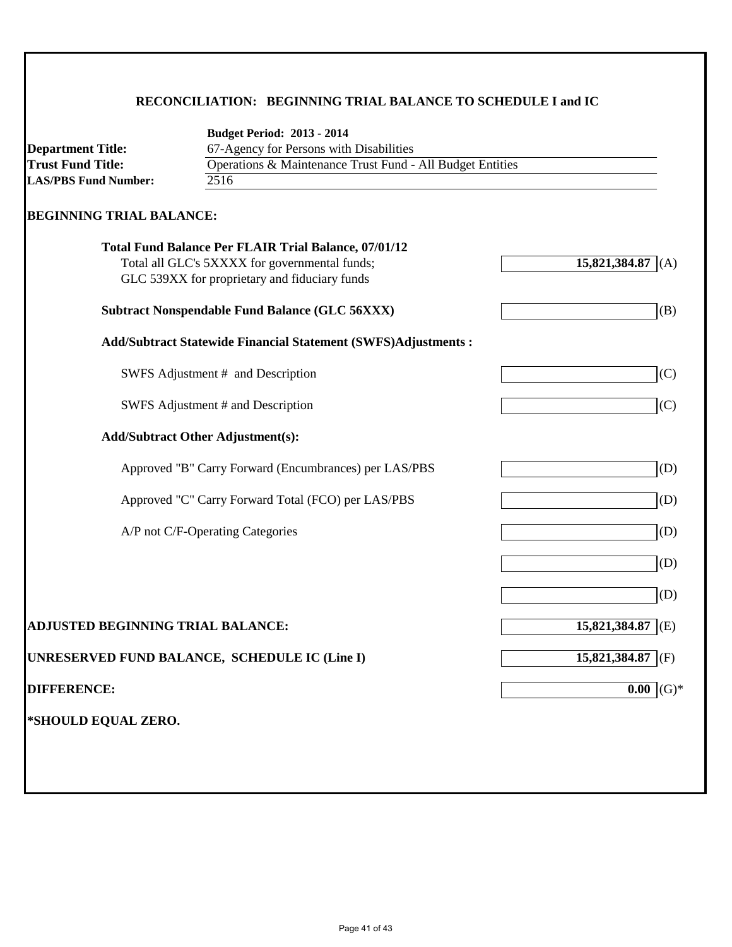### **RECONCILIATION: BEGINNING TRIAL BALANCE TO SCHEDULE I and IC**

|                                          | <b>Budget Period: 2013 - 2014</b>                                                              |                       |  |
|------------------------------------------|------------------------------------------------------------------------------------------------|-----------------------|--|
| <b>Department Title:</b>                 | 67-Agency for Persons with Disabilities                                                        |                       |  |
| <b>Trust Fund Title:</b>                 | Operations & Maintenance Trust Fund - All Budget Entities                                      |                       |  |
| <b>LAS/PBS Fund Number:</b>              | 2516                                                                                           |                       |  |
| <b>BEGINNING TRIAL BALANCE:</b>          |                                                                                                |                       |  |
|                                          | <b>Total Fund Balance Per FLAIR Trial Balance, 07/01/12</b>                                    |                       |  |
|                                          | Total all GLC's 5XXXX for governmental funds;<br>GLC 539XX for proprietary and fiduciary funds | 15,821,384.87<br>(A)  |  |
|                                          | <b>Subtract Nonspendable Fund Balance (GLC 56XXX)</b>                                          | (B)                   |  |
|                                          |                                                                                                |                       |  |
|                                          | <b>Add/Subtract Statewide Financial Statement (SWFS)Adjustments:</b>                           |                       |  |
|                                          | SWFS Adjustment # and Description                                                              | (C)                   |  |
|                                          | SWFS Adjustment # and Description                                                              | (C)                   |  |
|                                          | <b>Add/Subtract Other Adjustment(s):</b>                                                       |                       |  |
|                                          | Approved "B" Carry Forward (Encumbrances) per LAS/PBS                                          | (D)                   |  |
|                                          | Approved "C" Carry Forward Total (FCO) per LAS/PBS                                             | (D)                   |  |
|                                          | A/P not C/F-Operating Categories                                                               | (D)                   |  |
|                                          |                                                                                                | (D)                   |  |
|                                          |                                                                                                | (D)                   |  |
| <b>ADJUSTED BEGINNING TRIAL BALANCE:</b> |                                                                                                | 15,821,384.87<br>I(E) |  |
|                                          | UNRESERVED FUND BALANCE, SCHEDULE IC (Line I)                                                  | 15,821,384.87<br>(F)  |  |
| <b>DIFFERENCE:</b>                       |                                                                                                | 0.00<br>$(G)*$        |  |
|                                          |                                                                                                |                       |  |
|                                          |                                                                                                |                       |  |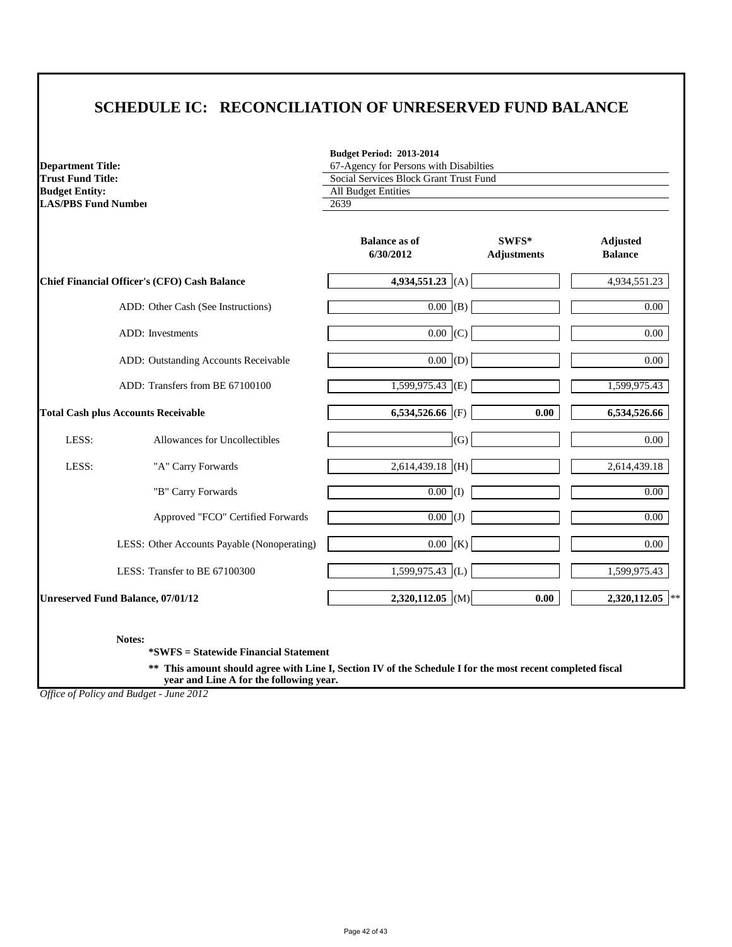# **SCHEDULE IC: RECONCILIATION OF UNRESERVED FUND BALANCE**

**Budget Period: 2013-2014**

67-Agency for Persons with Disabilties

| <b>Trust Fund Title:</b>   |                                                     | Social Services Block Grant Trust Fund |                             |                                   |
|----------------------------|-----------------------------------------------------|----------------------------------------|-----------------------------|-----------------------------------|
| <b>Budget Entity:</b>      | <b>All Budget Entities</b>                          |                                        |                             |                                   |
| <b>LAS/PBS Fund Number</b> |                                                     | 2639                                   |                             |                                   |
|                            |                                                     | <b>Balance as of</b><br>6/30/2012      | SWFS*<br><b>Adjustments</b> | <b>Adjusted</b><br><b>Balance</b> |
|                            | <b>Chief Financial Officer's (CFO) Cash Balance</b> | 4,934,551.23 $ (A) $                   |                             | 4,934,551.23                      |
|                            | ADD: Other Cash (See Instructions)                  | $\boxed{0.00}$ (B)                     |                             | $0.00\,$                          |
|                            | ADD: Investments                                    | $0.00 \mid (C)$                        |                             | 0.00                              |
|                            | ADD: Outstanding Accounts Receivable                | 0.00  (D)                              |                             | 0.00                              |
|                            | ADD: Transfers from BE 67100100                     | $\overline{1,599,975.43}$ (E)          |                             | 1,599,975.43                      |
|                            | <b>Total Cash plus Accounts Receivable</b>          | 6,534,526.66 (F)                       | 0.00                        | 6,534,526.66                      |
| LESS:                      | Allowances for Uncollectibles                       | (G)                                    |                             | 0.00                              |
| LESS:                      | "A" Carry Forwards                                  | $2,614,439.18$ (H)                     |                             | 2,614,439.18                      |
|                            | "B" Carry Forwards                                  | $\overline{0.00}$ (I)                  |                             | $0.00\,$                          |
|                            | Approved "FCO" Certified Forwards                   | $\overline{0.00}$ (J)                  |                             | $0.00\,$                          |
|                            | LESS: Other Accounts Payable (Nonoperating)         | $0.00 \,  K\rangle$                    |                             | $0.00\,$                          |
|                            | LESS: Transfer to BE 67100300                       | 1,599,975.43 (L)                       |                             | 1,599,975.43                      |
|                            | <b>Unreserved Fund Balance, 07/01/12</b>            | $2,320,112.05$ (M)                     | 0.00                        | $2,320,112.05$ **                 |

**Notes:**

**Department Title:**

**\*SWFS = Statewide Financial Statement** 

**\*\* This amount should agree with Line I, Section IV of the Schedule I for the most recent completed fiscal year and Line A for the following year.**

*Office of Policy and Budget - June 2012*